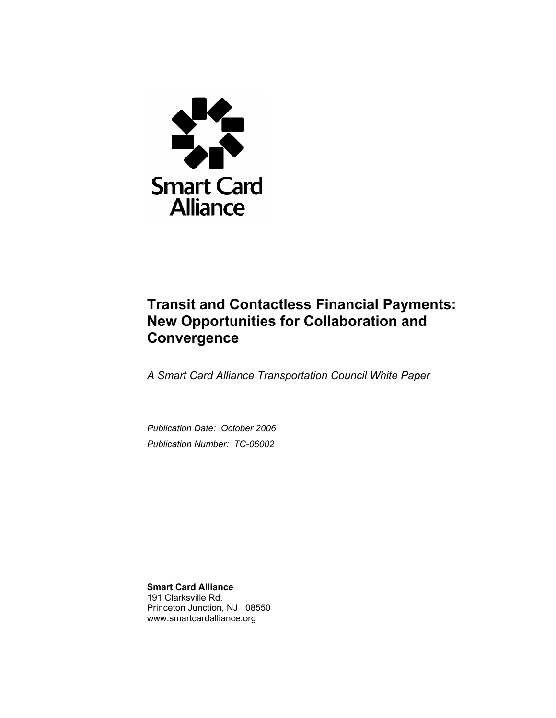

# **Transit and Contactless Financial Payments: New Opportunities for Collaboration and Convergence**

*A Smart Card Alliance Transportation Council White Paper* 

*Publication Date: October 2006 Publication Number: TC-06002*

**Smart Card Alliance**  191 Clarksville Rd. Princeton Junction, NJ 08550 www.smartcardalliance.org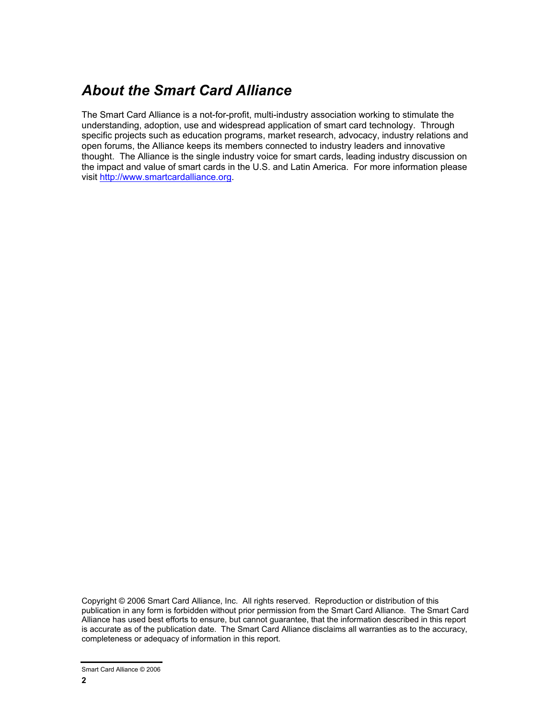# *About the Smart Card Alliance*

The Smart Card Alliance is a not-for-profit, multi-industry association working to stimulate the understanding, adoption, use and widespread application of smart card technology. Through specific projects such as education programs, market research, advocacy, industry relations and open forums, the Alliance keeps its members connected to industry leaders and innovative thought. The Alliance is the single industry voice for smart cards, leading industry discussion on the impact and value of smart cards in the U.S. and Latin America. For more information please visit http://www.smartcardalliance.org.

Copyright © 2006 Smart Card Alliance, Inc. All rights reserved. Reproduction or distribution of this publication in any form is forbidden without prior permission from the Smart Card Alliance. The Smart Card Alliance has used best efforts to ensure, but cannot guarantee, that the information described in this report is accurate as of the publication date. The Smart Card Alliance disclaims all warranties as to the accuracy, completeness or adequacy of information in this report.

Smart Card Alliance © 2006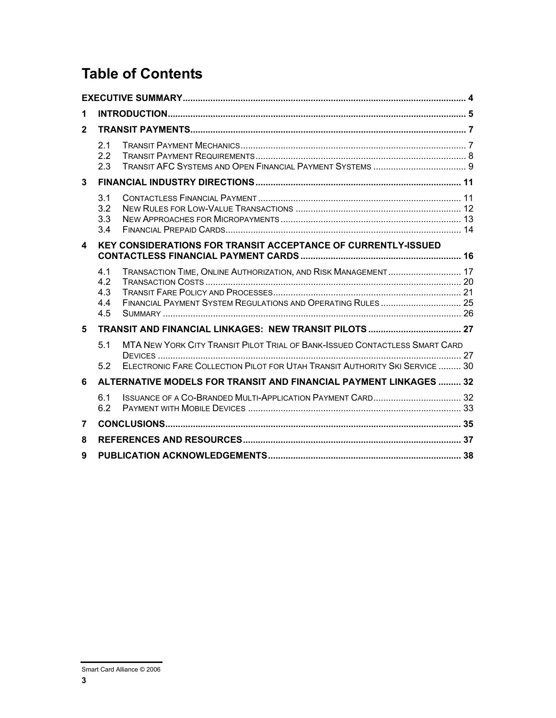# **Table of Contents**

| 1                |                                                                      |                                                                                                                                |  |  |  |
|------------------|----------------------------------------------------------------------|--------------------------------------------------------------------------------------------------------------------------------|--|--|--|
| $\overline{2}$   |                                                                      |                                                                                                                                |  |  |  |
|                  | 2.1<br>2.2<br>2.3                                                    |                                                                                                                                |  |  |  |
| 3                |                                                                      |                                                                                                                                |  |  |  |
|                  | 3.1<br>3.2<br>3.3<br>3.4                                             |                                                                                                                                |  |  |  |
| $\blacktriangle$ | <b>KEY CONSIDERATIONS FOR TRANSIT ACCEPTANCE OF CURRENTLY-ISSUED</b> |                                                                                                                                |  |  |  |
|                  | 4.1<br>4.2<br>4.3<br>4.4<br>4.5                                      | TRANSACTION TIME, ONLINE AUTHORIZATION, AND RISK MANAGEMENT 17<br>FINANCIAL PAYMENT SYSTEM REGULATIONS AND OPERATING RULES  25 |  |  |  |
| 5.               |                                                                      |                                                                                                                                |  |  |  |
|                  | 5.1                                                                  | MTA NEW YORK CITY TRANSIT PILOT TRIAL OF BANK-ISSUED CONTACTLESS SMART CARD                                                    |  |  |  |
|                  | 5.2                                                                  | ELECTRONIC FARE COLLECTION PILOT FOR UTAH TRANSIT AUTHORITY SKI SERVICE  30                                                    |  |  |  |
| 6                |                                                                      | ALTERNATIVE MODELS FOR TRANSIT AND FINANCIAL PAYMENT LINKAGES  32                                                              |  |  |  |
|                  | 6.1<br>6.2                                                           |                                                                                                                                |  |  |  |
| $\overline{7}$   |                                                                      |                                                                                                                                |  |  |  |
| 8                |                                                                      |                                                                                                                                |  |  |  |
| 9                |                                                                      |                                                                                                                                |  |  |  |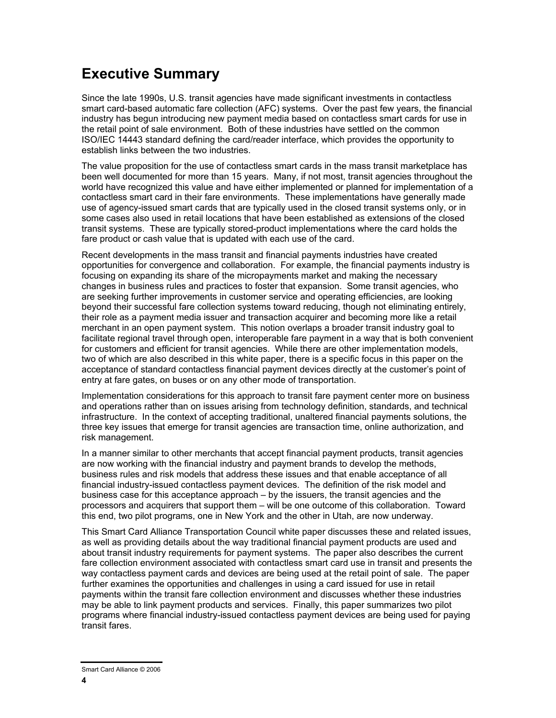## **Executive Summary**

Since the late 1990s, U.S. transit agencies have made significant investments in contactless smart card-based automatic fare collection (AFC) systems. Over the past few years, the financial industry has begun introducing new payment media based on contactless smart cards for use in the retail point of sale environment. Both of these industries have settled on the common ISO/IEC 14443 standard defining the card/reader interface, which provides the opportunity to establish links between the two industries.

The value proposition for the use of contactless smart cards in the mass transit marketplace has been well documented for more than 15 years. Many, if not most, transit agencies throughout the world have recognized this value and have either implemented or planned for implementation of a contactless smart card in their fare environments. These implementations have generally made use of agency-issued smart cards that are typically used in the closed transit systems only, or in some cases also used in retail locations that have been established as extensions of the closed transit systems. These are typically stored-product implementations where the card holds the fare product or cash value that is updated with each use of the card.

Recent developments in the mass transit and financial payments industries have created opportunities for convergence and collaboration. For example, the financial payments industry is focusing on expanding its share of the micropayments market and making the necessary changes in business rules and practices to foster that expansion. Some transit agencies, who are seeking further improvements in customer service and operating efficiencies, are looking beyond their successful fare collection systems toward reducing, though not eliminating entirely, their role as a payment media issuer and transaction acquirer and becoming more like a retail merchant in an open payment system. This notion overlaps a broader transit industry goal to facilitate regional travel through open, interoperable fare payment in a way that is both convenient for customers and efficient for transit agencies. While there are other implementation models, two of which are also described in this white paper, there is a specific focus in this paper on the acceptance of standard contactless financial payment devices directly at the customer's point of entry at fare gates, on buses or on any other mode of transportation.

Implementation considerations for this approach to transit fare payment center more on business and operations rather than on issues arising from technology definition, standards, and technical infrastructure. In the context of accepting traditional, unaltered financial payments solutions, the three key issues that emerge for transit agencies are transaction time, online authorization, and risk management.

In a manner similar to other merchants that accept financial payment products, transit agencies are now working with the financial industry and payment brands to develop the methods, business rules and risk models that address these issues and that enable acceptance of all financial industry-issued contactless payment devices. The definition of the risk model and business case for this acceptance approach – by the issuers, the transit agencies and the processors and acquirers that support them – will be one outcome of this collaboration. Toward this end, two pilot programs, one in New York and the other in Utah, are now underway.

This Smart Card Alliance Transportation Council white paper discusses these and related issues, as well as providing details about the way traditional financial payment products are used and about transit industry requirements for payment systems. The paper also describes the current fare collection environment associated with contactless smart card use in transit and presents the way contactless payment cards and devices are being used at the retail point of sale. The paper further examines the opportunities and challenges in using a card issued for use in retail payments within the transit fare collection environment and discusses whether these industries may be able to link payment products and services. Finally, this paper summarizes two pilot programs where financial industry-issued contactless payment devices are being used for paying transit fares.

Smart Card Alliance © 2006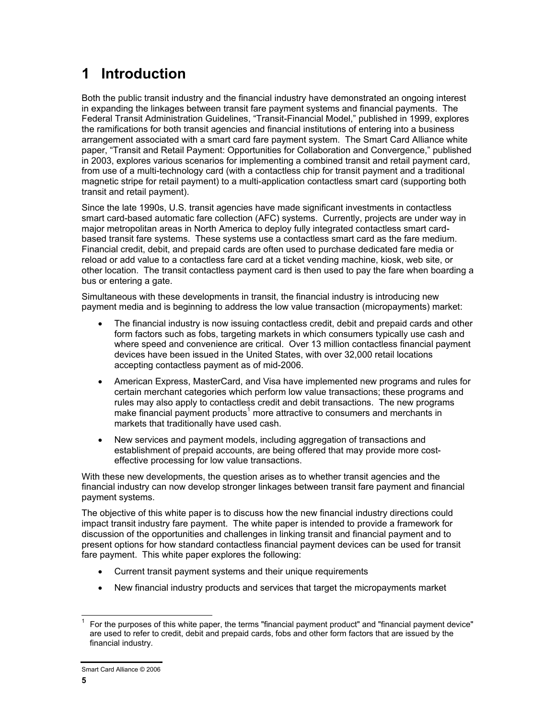# **1 Introduction**

Both the public transit industry and the financial industry have demonstrated an ongoing interest in expanding the linkages between transit fare payment systems and financial payments. The Federal Transit Administration Guidelines, "Transit-Financial Model," published in 1999, explores the ramifications for both transit agencies and financial institutions of entering into a business arrangement associated with a smart card fare payment system. The Smart Card Alliance white paper, "Transit and Retail Payment: Opportunities for Collaboration and Convergence," published in 2003, explores various scenarios for implementing a combined transit and retail payment card, from use of a multi-technology card (with a contactless chip for transit payment and a traditional magnetic stripe for retail payment) to a multi-application contactless smart card (supporting both transit and retail payment).

Since the late 1990s, U.S. transit agencies have made significant investments in contactless smart card-based automatic fare collection (AFC) systems. Currently, projects are under way in major metropolitan areas in North America to deploy fully integrated contactless smart cardbased transit fare systems. These systems use a contactless smart card as the fare medium. Financial credit, debit, and prepaid cards are often used to purchase dedicated fare media or reload or add value to a contactless fare card at a ticket vending machine, kiosk, web site, or other location. The transit contactless payment card is then used to pay the fare when boarding a bus or entering a gate.

Simultaneous with these developments in transit, the financial industry is introducing new payment media and is beginning to address the low value transaction (micropayments) market:

- The financial industry is now issuing contactless credit, debit and prepaid cards and other form factors such as fobs, targeting markets in which consumers typically use cash and where speed and convenience are critical. Over 13 million contactless financial payment devices have been issued in the United States, with over 32,000 retail locations accepting contactless payment as of mid-2006.
- American Express, MasterCard, and Visa have implemented new programs and rules for certain merchant categories which perform low value transactions; these programs and rules may also apply to contactless credit and debit transactions. The new programs make financial payment products<sup>1</sup> more attractive to consumers and merchants in markets that traditionally have used cash.
- New services and payment models, including aggregation of transactions and establishment of prepaid accounts, are being offered that may provide more costeffective processing for low value transactions.

With these new developments, the question arises as to whether transit agencies and the financial industry can now develop stronger linkages between transit fare payment and financial payment systems.

The objective of this white paper is to discuss how the new financial industry directions could impact transit industry fare payment. The white paper is intended to provide a framework for discussion of the opportunities and challenges in linking transit and financial payment and to present options for how standard contactless financial payment devices can be used for transit fare payment. This white paper explores the following:

- Current transit payment systems and their unique requirements
- New financial industry products and services that target the micropayments market

l 1 For the purposes of this white paper, the terms "financial payment product" and "financial payment device" are used to refer to credit, debit and prepaid cards, fobs and other form factors that are issued by the financial industry.

Smart Card Alliance © 2006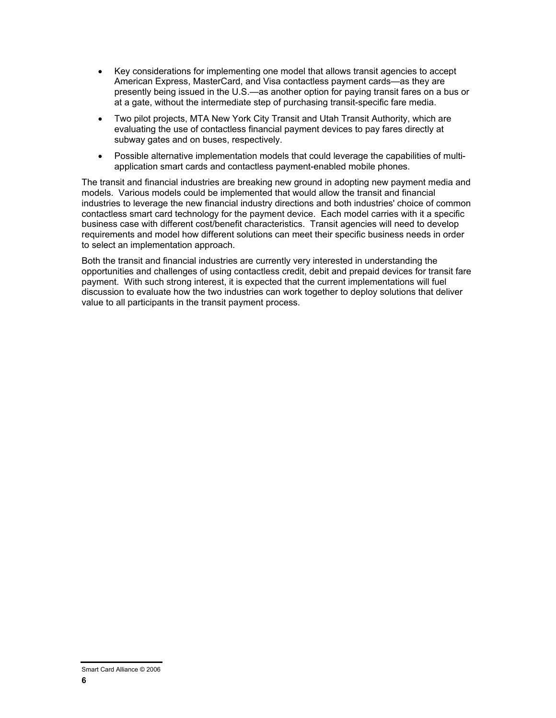- Key considerations for implementing one model that allows transit agencies to accept American Express, MasterCard, and Visa contactless payment cards—as they are presently being issued in the U.S.—as another option for paying transit fares on a bus or at a gate, without the intermediate step of purchasing transit-specific fare media.
- Two pilot projects, MTA New York City Transit and Utah Transit Authority, which are evaluating the use of contactless financial payment devices to pay fares directly at subway gates and on buses, respectively.
- Possible alternative implementation models that could leverage the capabilities of multiapplication smart cards and contactless payment-enabled mobile phones.

The transit and financial industries are breaking new ground in adopting new payment media and models. Various models could be implemented that would allow the transit and financial industries to leverage the new financial industry directions and both industries' choice of common contactless smart card technology for the payment device. Each model carries with it a specific business case with different cost/benefit characteristics. Transit agencies will need to develop requirements and model how different solutions can meet their specific business needs in order to select an implementation approach.

Both the transit and financial industries are currently very interested in understanding the opportunities and challenges of using contactless credit, debit and prepaid devices for transit fare payment. With such strong interest, it is expected that the current implementations will fuel discussion to evaluate how the two industries can work together to deploy solutions that deliver value to all participants in the transit payment process.

Smart Card Alliance © 2006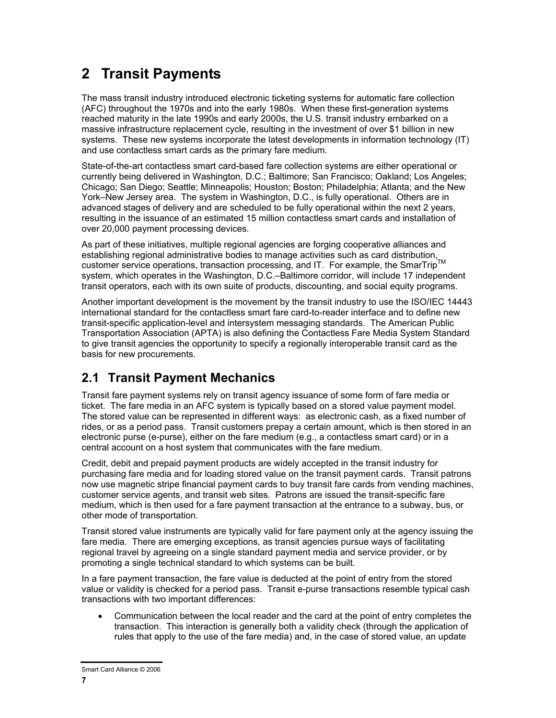# **2 Transit Payments**

The mass transit industry introduced electronic ticketing systems for automatic fare collection (AFC) throughout the 1970s and into the early 1980s. When these first-generation systems reached maturity in the late 1990s and early 2000s, the U.S. transit industry embarked on a massive infrastructure replacement cycle, resulting in the investment of over \$1 billion in new systems. These new systems incorporate the latest developments in information technology (IT) and use contactless smart cards as the primary fare medium.

State-of-the-art contactless smart card-based fare collection systems are either operational or currently being delivered in Washington, D.C.; Baltimore; San Francisco; Oakland; Los Angeles; Chicago; San Diego; Seattle; Minneapolis; Houston; Boston; Philadelphia; Atlanta; and the New York–New Jersey area. The system in Washington, D.C., is fully operational. Others are in advanced stages of delivery and are scheduled to be fully operational within the next 2 years, resulting in the issuance of an estimated 15 million contactless smart cards and installation of over 20,000 payment processing devices.

As part of these initiatives, multiple regional agencies are forging cooperative alliances and As part of these impaires, manager regional as each property of the example as card distribution, customer service operations, transaction processing, and IT. For example, the SmarTrip system, which operates in the Washington, D.C.–Baltimore corridor, will include 17 independent transit operators, each with its own suite of products, discounting, and social equity programs.

Another important development is the movement by the transit industry to use the ISO/IEC 14443 international standard for the contactless smart fare card-to-reader interface and to define new transit-specific application-level and intersystem messaging standards. The American Public Transportation Association (APTA) is also defining the Contactless Fare Media System Standard to give transit agencies the opportunity to specify a regionally interoperable transit card as the basis for new procurements.

## **2.1 Transit Payment Mechanics**

Transit fare payment systems rely on transit agency issuance of some form of fare media or ticket. The fare media in an AFC system is typically based on a stored value payment model. The stored value can be represented in different ways: as electronic cash, as a fixed number of rides, or as a period pass. Transit customers prepay a certain amount, which is then stored in an electronic purse (e-purse), either on the fare medium (e.g., a contactless smart card) or in a central account on a host system that communicates with the fare medium.

Credit, debit and prepaid payment products are widely accepted in the transit industry for purchasing fare media and for loading stored value on the transit payment cards. Transit patrons now use magnetic stripe financial payment cards to buy transit fare cards from vending machines, customer service agents, and transit web sites. Patrons are issued the transit-specific fare medium, which is then used for a fare payment transaction at the entrance to a subway, bus, or other mode of transportation.

Transit stored value instruments are typically valid for fare payment only at the agency issuing the fare media. There are emerging exceptions, as transit agencies pursue ways of facilitating regional travel by agreeing on a single standard payment media and service provider, or by promoting a single technical standard to which systems can be built.

In a fare payment transaction, the fare value is deducted at the point of entry from the stored value or validity is checked for a period pass. Transit e-purse transactions resemble typical cash transactions with two important differences:

• Communication between the local reader and the card at the point of entry completes the transaction. This interaction is generally both a validity check (through the application of rules that apply to the use of the fare media) and, in the case of stored value, an update

Smart Card Alliance © 2006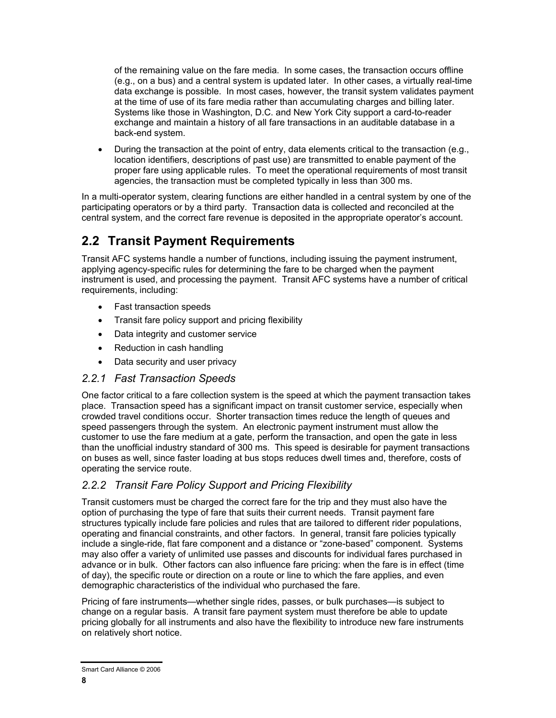of the remaining value on the fare media. In some cases, the transaction occurs offline (e.g., on a bus) and a central system is updated later. In other cases, a virtually real-time data exchange is possible. In most cases, however, the transit system validates payment at the time of use of its fare media rather than accumulating charges and billing later. Systems like those in Washington, D.C. and New York City support a card-to-reader exchange and maintain a history of all fare transactions in an auditable database in a back-end system.

• During the transaction at the point of entry, data elements critical to the transaction (e.g., location identifiers, descriptions of past use) are transmitted to enable payment of the proper fare using applicable rules. To meet the operational requirements of most transit agencies, the transaction must be completed typically in less than 300 ms.

In a multi-operator system, clearing functions are either handled in a central system by one of the participating operators or by a third party. Transaction data is collected and reconciled at the central system, and the correct fare revenue is deposited in the appropriate operator's account.

### **2.2 Transit Payment Requirements**

Transit AFC systems handle a number of functions, including issuing the payment instrument, applying agency-specific rules for determining the fare to be charged when the payment instrument is used, and processing the payment. Transit AFC systems have a number of critical requirements, including:

- Fast transaction speeds
- Transit fare policy support and pricing flexibility
- Data integrity and customer service
- Reduction in cash handling
- Data security and user privacy

#### *2.2.1 Fast Transaction Speeds*

One factor critical to a fare collection system is the speed at which the payment transaction takes place. Transaction speed has a significant impact on transit customer service, especially when crowded travel conditions occur. Shorter transaction times reduce the length of queues and speed passengers through the system. An electronic payment instrument must allow the customer to use the fare medium at a gate, perform the transaction, and open the gate in less than the unofficial industry standard of 300 ms. This speed is desirable for payment transactions on buses as well, since faster loading at bus stops reduces dwell times and, therefore, costs of operating the service route.

### *2.2.2 Transit Fare Policy Support and Pricing Flexibility*

Transit customers must be charged the correct fare for the trip and they must also have the option of purchasing the type of fare that suits their current needs. Transit payment fare structures typically include fare policies and rules that are tailored to different rider populations, operating and financial constraints, and other factors. In general, transit fare policies typically include a single-ride, flat fare component and a distance or "zone-based" component. Systems may also offer a variety of unlimited use passes and discounts for individual fares purchased in advance or in bulk. Other factors can also influence fare pricing: when the fare is in effect (time of day), the specific route or direction on a route or line to which the fare applies, and even demographic characteristics of the individual who purchased the fare.

Pricing of fare instruments—whether single rides, passes, or bulk purchases—is subject to change on a regular basis. A transit fare payment system must therefore be able to update pricing globally for all instruments and also have the flexibility to introduce new fare instruments on relatively short notice.

Smart Card Alliance © 2006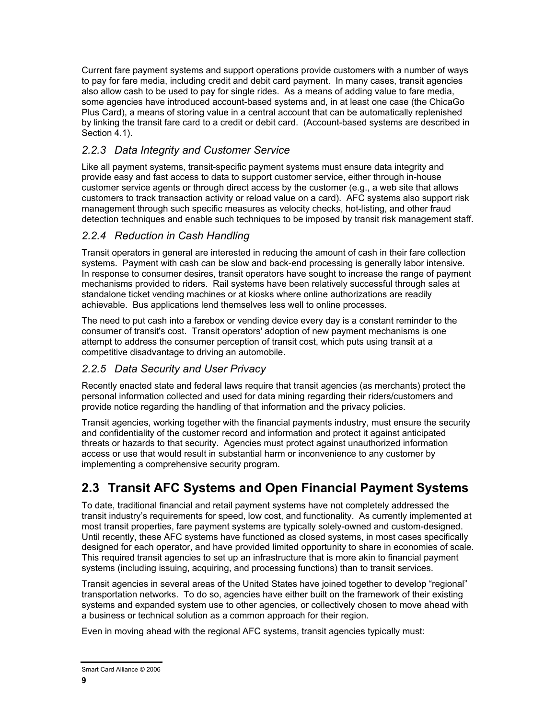Current fare payment systems and support operations provide customers with a number of ways to pay for fare media, including credit and debit card payment. In many cases, transit agencies also allow cash to be used to pay for single rides. As a means of adding value to fare media, some agencies have introduced account-based systems and, in at least one case (the ChicaGo Plus Card), a means of storing value in a central account that can be automatically replenished by linking the transit fare card to a credit or debit card. (Account-based systems are described in Section 4.1).

### *2.2.3 Data Integrity and Customer Service*

Like all payment systems, transit-specific payment systems must ensure data integrity and provide easy and fast access to data to support customer service, either through in-house customer service agents or through direct access by the customer (e.g., a web site that allows customers to track transaction activity or reload value on a card). AFC systems also support risk management through such specific measures as velocity checks, hot-listing, and other fraud detection techniques and enable such techniques to be imposed by transit risk management staff.

#### *2.2.4 Reduction in Cash Handling*

Transit operators in general are interested in reducing the amount of cash in their fare collection systems. Payment with cash can be slow and back-end processing is generally labor intensive. In response to consumer desires, transit operators have sought to increase the range of payment mechanisms provided to riders. Rail systems have been relatively successful through sales at standalone ticket vending machines or at kiosks where online authorizations are readily achievable. Bus applications lend themselves less well to online processes.

The need to put cash into a farebox or vending device every day is a constant reminder to the consumer of transit's cost. Transit operators' adoption of new payment mechanisms is one attempt to address the consumer perception of transit cost, which puts using transit at a competitive disadvantage to driving an automobile.

### *2.2.5 Data Security and User Privacy*

Recently enacted state and federal laws require that transit agencies (as merchants) protect the personal information collected and used for data mining regarding their riders/customers and provide notice regarding the handling of that information and the privacy policies.

Transit agencies, working together with the financial payments industry, must ensure the security and confidentiality of the customer record and information and protect it against anticipated threats or hazards to that security. Agencies must protect against unauthorized information access or use that would result in substantial harm or inconvenience to any customer by implementing a comprehensive security program.

## **2.3 Transit AFC Systems and Open Financial Payment Systems**

To date, traditional financial and retail payment systems have not completely addressed the transit industry's requirements for speed, low cost, and functionality. As currently implemented at most transit properties, fare payment systems are typically solely-owned and custom-designed. Until recently, these AFC systems have functioned as closed systems, in most cases specifically designed for each operator, and have provided limited opportunity to share in economies of scale. This required transit agencies to set up an infrastructure that is more akin to financial payment systems (including issuing, acquiring, and processing functions) than to transit services.

Transit agencies in several areas of the United States have joined together to develop "regional" transportation networks. To do so, agencies have either built on the framework of their existing systems and expanded system use to other agencies, or collectively chosen to move ahead with a business or technical solution as a common approach for their region.

Even in moving ahead with the regional AFC systems, transit agencies typically must:

Smart Card Alliance © 2006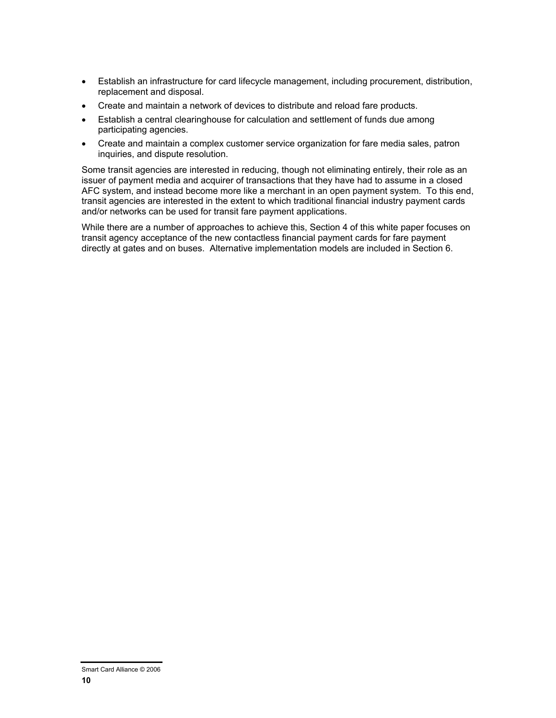- Establish an infrastructure for card lifecycle management, including procurement, distribution, replacement and disposal.
- Create and maintain a network of devices to distribute and reload fare products.
- Establish a central clearinghouse for calculation and settlement of funds due among participating agencies.
- Create and maintain a complex customer service organization for fare media sales, patron inquiries, and dispute resolution.

Some transit agencies are interested in reducing, though not eliminating entirely, their role as an issuer of payment media and acquirer of transactions that they have had to assume in a closed AFC system, and instead become more like a merchant in an open payment system. To this end, transit agencies are interested in the extent to which traditional financial industry payment cards and/or networks can be used for transit fare payment applications.

While there are a number of approaches to achieve this, Section 4 of this white paper focuses on transit agency acceptance of the new contactless financial payment cards for fare payment directly at gates and on buses. Alternative implementation models are included in Section 6.

Smart Card Alliance © 2006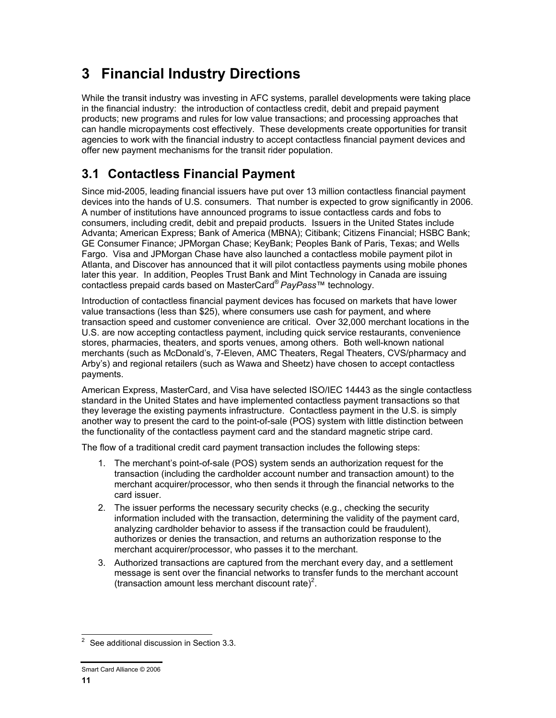# **3 Financial Industry Directions**

While the transit industry was investing in AFC systems, parallel developments were taking place in the financial industry: the introduction of contactless credit, debit and prepaid payment products; new programs and rules for low value transactions; and processing approaches that can handle micropayments cost effectively. These developments create opportunities for transit agencies to work with the financial industry to accept contactless financial payment devices and offer new payment mechanisms for the transit rider population.

## **3.1 Contactless Financial Payment**

Since mid-2005, leading financial issuers have put over 13 million contactless financial payment devices into the hands of U.S. consumers. That number is expected to grow significantly in 2006. A number of institutions have announced programs to issue contactless cards and fobs to consumers, including credit, debit and prepaid products. Issuers in the United States include Advanta; American Express; Bank of America (MBNA); Citibank; Citizens Financial; HSBC Bank; GE Consumer Finance; JPMorgan Chase; KeyBank; Peoples Bank of Paris, Texas; and Wells Fargo. Visa and JPMorgan Chase have also launched a contactless mobile payment pilot in Atlanta, and Discover has announced that it will pilot contactless payments using mobile phones later this year. In addition, Peoples Trust Bank and Mint Technology in Canada are issuing contactless prepaid cards based on MasterCard® *PayPass*™ technology.

Introduction of contactless financial payment devices has focused on markets that have lower value transactions (less than \$25), where consumers use cash for payment, and where transaction speed and customer convenience are critical. Over 32,000 merchant locations in the U.S. are now accepting contactless payment, including quick service restaurants, convenience stores, pharmacies, theaters, and sports venues, among others. Both well-known national merchants (such as McDonald's, 7-Eleven, AMC Theaters, Regal Theaters, CVS/pharmacy and Arby's) and regional retailers (such as Wawa and Sheetz) have chosen to accept contactless payments.

American Express, MasterCard, and Visa have selected ISO/IEC 14443 as the single contactless standard in the United States and have implemented contactless payment transactions so that they leverage the existing payments infrastructure. Contactless payment in the U.S. is simply another way to present the card to the point-of-sale (POS) system with little distinction between the functionality of the contactless payment card and the standard magnetic stripe card.

The flow of a traditional credit card payment transaction includes the following steps:

- 1. The merchant's point-of-sale (POS) system sends an authorization request for the transaction (including the cardholder account number and transaction amount) to the merchant acquirer/processor, who then sends it through the financial networks to the card issuer.
- 2. The issuer performs the necessary security checks (e.g., checking the security information included with the transaction, determining the validity of the payment card, analyzing cardholder behavior to assess if the transaction could be fraudulent), authorizes or denies the transaction, and returns an authorization response to the merchant acquirer/processor, who passes it to the merchant.
- 3. Authorized transactions are captured from the merchant every day, and a settlement message is sent over the financial networks to transfer funds to the merchant account (transaction amount less merchant discount rate)<sup>2</sup>.

<sup>&</sup>lt;u>2</u><br><sup>2</sup> See additional discussion in Section 3.3.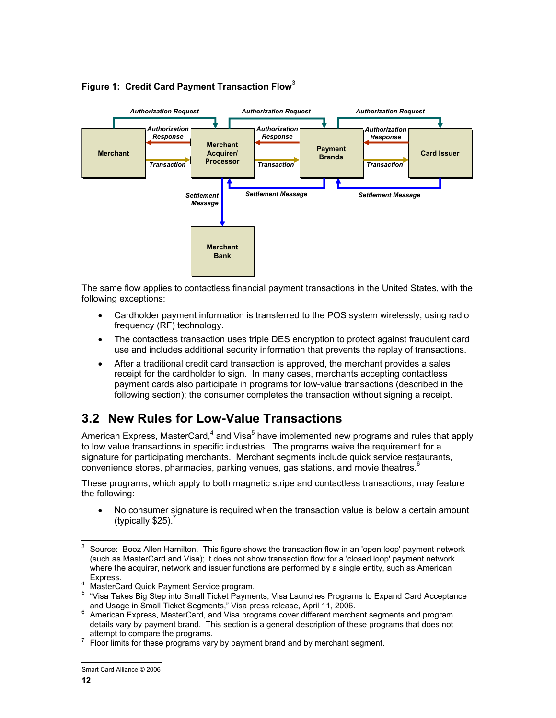

#### **Figure 1: Credit Card Payment Transaction Flow**<sup>3</sup>

The same flow applies to contactless financial payment transactions in the United States, with the following exceptions:

- Cardholder payment information is transferred to the POS system wirelessly, using radio frequency (RF) technology.
- The contactless transaction uses triple DES encryption to protect against fraudulent card use and includes additional security information that prevents the replay of transactions.
- After a traditional credit card transaction is approved, the merchant provides a sales receipt for the cardholder to sign. In many cases, merchants accepting contactless payment cards also participate in programs for low-value transactions (described in the following section); the consumer completes the transaction without signing a receipt.

### **3.2 New Rules for Low-Value Transactions**

American Express, MasterCard,<sup>4</sup> and Visa<sup>5</sup> have implemented new programs and rules that apply to low value transactions in specific industries. The programs waive the requirement for a signature for participating merchants. Merchant segments include quick service restaurants, convenience stores, pharmacies, parking venues, gas stations, and movie theatres. $6$ 

These programs, which apply to both magnetic stripe and contactless transactions, may feature the following:

• No consumer signature is required when the transaction value is below a certain amount (typically \$25). $<sup>7</sup>$ </sup>

<sup>-&</sup>lt;br>3 Source: Booz Allen Hamilton. This figure shows the transaction flow in an 'open loop' payment network (such as MasterCard and Visa); it does not show transaction flow for a 'closed loop' payment network where the acquirer, network and issuer functions are performed by a single entity, such as American

Express. 4 MasterCard Quick Payment Service program.

<sup>&</sup>lt;sup>5</sup> "Visa Takes Big Step into Small Ticket Payments; Visa Launches Programs to Expand Card Acceptance and Usage in Small Ticket Segments," Visa press release, April 11, 2006.

American Express, MasterCard, and Visa programs cover different merchant segments and program details vary by payment brand. This section is a general description of these programs that does not attempt to compare the programs.

Floor limits for these programs vary by payment brand and by merchant segment.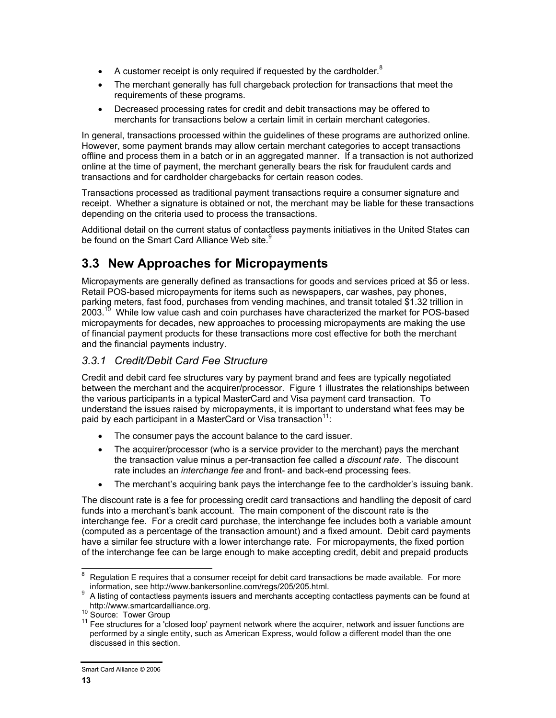- A customer receipt is only required if requested by the cardholder. $8$
- The merchant generally has full chargeback protection for transactions that meet the requirements of these programs.
- Decreased processing rates for credit and debit transactions may be offered to merchants for transactions below a certain limit in certain merchant categories.

In general, transactions processed within the guidelines of these programs are authorized online. However, some payment brands may allow certain merchant categories to accept transactions offline and process them in a batch or in an aggregated manner. If a transaction is not authorized online at the time of payment, the merchant generally bears the risk for fraudulent cards and transactions and for cardholder chargebacks for certain reason codes.

Transactions processed as traditional payment transactions require a consumer signature and receipt. Whether a signature is obtained or not, the merchant may be liable for these transactions depending on the criteria used to process the transactions.

Additional detail on the current status of contactless payments initiatives in the United States can be found on the Smart Card Alliance Web site.<sup>9</sup>

### **3.3 New Approaches for Micropayments**

Micropayments are generally defined as transactions for goods and services priced at \$5 or less. Retail POS-based micropayments for items such as newspapers, car washes, pay phones, parking meters, fast food, purchases from vending machines, and transit totaled \$1.32 trillion in  $2003<sup>10</sup>$  While low value cash and coin purchases have characterized the market for POS-based micropayments for decades, new approaches to processing micropayments are making the use of financial payment products for these transactions more cost effective for both the merchant and the financial payments industry.

### *3.3.1 Credit/Debit Card Fee Structure*

Credit and debit card fee structures vary by payment brand and fees are typically negotiated between the merchant and the acquirer/processor. Figure 1 illustrates the relationships between the various participants in a typical MasterCard and Visa payment card transaction. To understand the issues raised by micropayments, it is important to understand what fees may be paid by each participant in a MasterCard or Visa transaction $11$ :

- The consumer pays the account balance to the card issuer.
- The acquirer/processor (who is a service provider to the merchant) pays the merchant the transaction value minus a per-transaction fee called a *discount rate*. The discount rate includes an *interchange fee* and front- and back-end processing fees.
- The merchant's acquiring bank pays the interchange fee to the cardholder's issuing bank.

The discount rate is a fee for processing credit card transactions and handling the deposit of card funds into a merchant's bank account. The main component of the discount rate is the interchange fee. For a credit card purchase, the interchange fee includes both a variable amount (computed as a percentage of the transaction amount) and a fixed amount. Debit card payments have a similar fee structure with a lower interchange rate. For micropayments, the fixed portion of the interchange fee can be large enough to make accepting credit, debit and prepaid products

<sup>-&</sup>lt;br>8 Regulation E requires that a consumer receipt for debit card transactions be made available. For more information, see http://www.bankersonline.com/regs/205/205.html.<br>9 A listing of contactloss nayments issuers and merchants acconting

A listing of contactless payments issuers and merchants accepting contactless payments can be found at

http://www.smartcardalliance.org.<br><sup>10</sup> Source: Tower Group<br><sup>11</sup> Fee structures for a 'closed loop' payment network where the acquirer, network and issuer functions are performed by a single entity, such as American Express, would follow a different model than the one discussed in this section.

Smart Card Alliance © 2006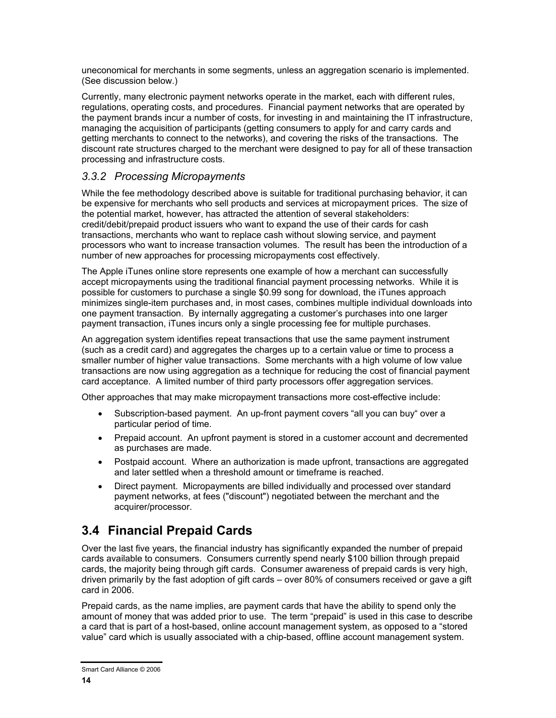uneconomical for merchants in some segments, unless an aggregation scenario is implemented. (See discussion below.)

Currently, many electronic payment networks operate in the market, each with different rules, regulations, operating costs, and procedures. Financial payment networks that are operated by the payment brands incur a number of costs, for investing in and maintaining the IT infrastructure, managing the acquisition of participants (getting consumers to apply for and carry cards and getting merchants to connect to the networks), and covering the risks of the transactions. The discount rate structures charged to the merchant were designed to pay for all of these transaction processing and infrastructure costs.

#### *3.3.2 Processing Micropayments*

While the fee methodology described above is suitable for traditional purchasing behavior, it can be expensive for merchants who sell products and services at micropayment prices. The size of the potential market, however, has attracted the attention of several stakeholders: credit/debit/prepaid product issuers who want to expand the use of their cards for cash transactions, merchants who want to replace cash without slowing service, and payment processors who want to increase transaction volumes. The result has been the introduction of a number of new approaches for processing micropayments cost effectively.

The Apple iTunes online store represents one example of how a merchant can successfully accept micropayments using the traditional financial payment processing networks. While it is possible for customers to purchase a single \$0.99 song for download, the iTunes approach minimizes single-item purchases and, in most cases, combines multiple individual downloads into one payment transaction. By internally aggregating a customer's purchases into one larger payment transaction, iTunes incurs only a single processing fee for multiple purchases.

An aggregation system identifies repeat transactions that use the same payment instrument (such as a credit card) and aggregates the charges up to a certain value or time to process a smaller number of higher value transactions. Some merchants with a high volume of low value transactions are now using aggregation as a technique for reducing the cost of financial payment card acceptance. A limited number of third party processors offer aggregation services.

Other approaches that may make micropayment transactions more cost-effective include:

- Subscription-based payment. An up-front payment covers "all you can buy" over a particular period of time.
- Prepaid account. An upfront payment is stored in a customer account and decremented as purchases are made.
- Postpaid account. Where an authorization is made upfront, transactions are aggregated and later settled when a threshold amount or timeframe is reached.
- Direct payment. Micropayments are billed individually and processed over standard payment networks, at fees ("discount") negotiated between the merchant and the acquirer/processor.

### **3.4 Financial Prepaid Cards**

Over the last five years, the financial industry has significantly expanded the number of prepaid cards available to consumers. Consumers currently spend nearly \$100 billion through prepaid cards, the majority being through gift cards. Consumer awareness of prepaid cards is very high, driven primarily by the fast adoption of gift cards – over 80% of consumers received or gave a gift card in 2006.

Prepaid cards, as the name implies, are payment cards that have the ability to spend only the amount of money that was added prior to use. The term "prepaid" is used in this case to describe a card that is part of a host-based, online account management system, as opposed to a "stored value" card which is usually associated with a chip-based, offline account management system.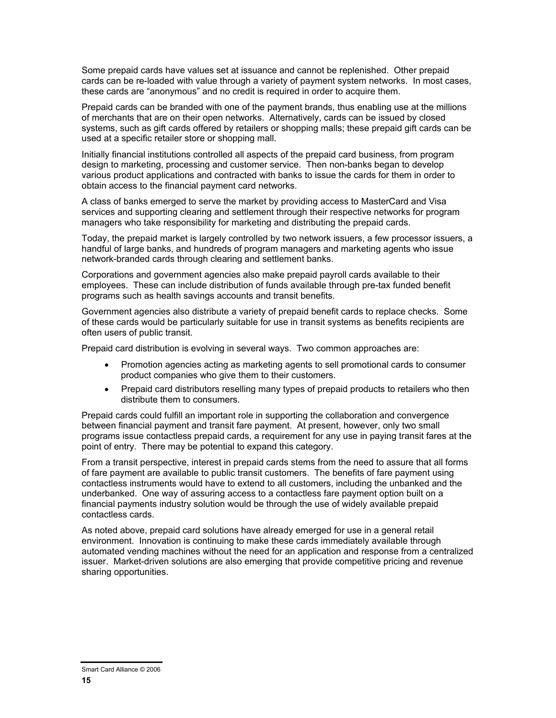Some prepaid cards have values set at issuance and cannot be replenished. Other prepaid cards can be re-loaded with value through a variety of payment system networks. In most cases, these cards are "anonymous" and no credit is required in order to acquire them.

Prepaid cards can be branded with one of the payment brands, thus enabling use at the millions of merchants that are on their open networks. Alternatively, cards can be issued by closed systems, such as gift cards offered by retailers or shopping malls; these prepaid gift cards can be used at a specific retailer store or shopping mall.

Initially financial institutions controlled all aspects of the prepaid card business, from program design to marketing, processing and customer service. Then non-banks began to develop various product applications and contracted with banks to issue the cards for them in order to obtain access to the financial payment card networks.

A class of banks emerged to serve the market by providing access to MasterCard and Visa services and supporting clearing and settlement through their respective networks for program managers who take responsibility for marketing and distributing the prepaid cards.

Today, the prepaid market is largely controlled by two network issuers, a few processor issuers, a handful of large banks, and hundreds of program managers and marketing agents who issue network-branded cards through clearing and settlement banks.

Corporations and government agencies also make prepaid payroll cards available to their employees. These can include distribution of funds available through pre-tax funded benefit programs such as health savings accounts and transit benefits.

Government agencies also distribute a variety of prepaid benefit cards to replace checks. Some of these cards would be particularly suitable for use in transit systems as benefits recipients are often users of public transit.

Prepaid card distribution is evolving in several ways. Two common approaches are:

- Promotion agencies acting as marketing agents to sell promotional cards to consumer product companies who give them to their customers.
- Prepaid card distributors reselling many types of prepaid products to retailers who then distribute them to consumers.

Prepaid cards could fulfill an important role in supporting the collaboration and convergence between financial payment and transit fare payment. At present, however, only two small programs issue contactless prepaid cards, a requirement for any use in paying transit fares at the point of entry. There may be potential to expand this category.

From a transit perspective, interest in prepaid cards stems from the need to assure that all forms of fare payment are available to public transit customers. The benefits of fare payment using contactless instruments would have to extend to all customers, including the unbanked and the underbanked. One way of assuring access to a contactless fare payment option built on a financial payments industry solution would be through the use of widely available prepaid contactless cards.

As noted above, prepaid card solutions have already emerged for use in a general retail environment. Innovation is continuing to make these cards immediately available through automated vending machines without the need for an application and response from a centralized issuer. Market-driven solutions are also emerging that provide competitive pricing and revenue sharing opportunities.

Smart Card Alliance © 2006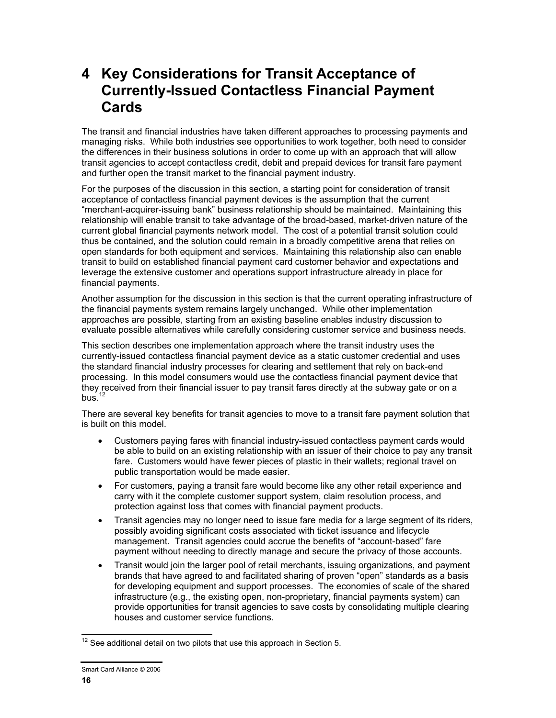# **4 Key Considerations for Transit Acceptance of Currently-Issued Contactless Financial Payment Cards**

The transit and financial industries have taken different approaches to processing payments and managing risks. While both industries see opportunities to work together, both need to consider the differences in their business solutions in order to come up with an approach that will allow transit agencies to accept contactless credit, debit and prepaid devices for transit fare payment and further open the transit market to the financial payment industry.

For the purposes of the discussion in this section, a starting point for consideration of transit acceptance of contactless financial payment devices is the assumption that the current "merchant-acquirer-issuing bank" business relationship should be maintained. Maintaining this relationship will enable transit to take advantage of the broad-based, market-driven nature of the current global financial payments network model. The cost of a potential transit solution could thus be contained, and the solution could remain in a broadly competitive arena that relies on open standards for both equipment and services. Maintaining this relationship also can enable transit to build on established financial payment card customer behavior and expectations and leverage the extensive customer and operations support infrastructure already in place for financial payments.

Another assumption for the discussion in this section is that the current operating infrastructure of the financial payments system remains largely unchanged. While other implementation approaches are possible, starting from an existing baseline enables industry discussion to evaluate possible alternatives while carefully considering customer service and business needs.

This section describes one implementation approach where the transit industry uses the currently-issued contactless financial payment device as a static customer credential and uses the standard financial industry processes for clearing and settlement that rely on back-end processing. In this model consumers would use the contactless financial payment device that they received from their financial issuer to pay transit fares directly at the subway gate or on a bus. $12$ 

There are several key benefits for transit agencies to move to a transit fare payment solution that is built on this model.

- Customers paying fares with financial industry-issued contactless payment cards would be able to build on an existing relationship with an issuer of their choice to pay any transit fare. Customers would have fewer pieces of plastic in their wallets; regional travel on public transportation would be made easier.
- For customers, paying a transit fare would become like any other retail experience and carry with it the complete customer support system, claim resolution process, and protection against loss that comes with financial payment products.
- Transit agencies may no longer need to issue fare media for a large segment of its riders, possibly avoiding significant costs associated with ticket issuance and lifecycle management. Transit agencies could accrue the benefits of "account-based" fare payment without needing to directly manage and secure the privacy of those accounts.
- Transit would join the larger pool of retail merchants, issuing organizations, and payment brands that have agreed to and facilitated sharing of proven "open" standards as a basis for developing equipment and support processes. The economies of scale of the shared infrastructure (e.g., the existing open, non-proprietary, financial payments system) can provide opportunities for transit agencies to save costs by consolidating multiple clearing houses and customer service functions.

l  $12$  See additional detail on two pilots that use this approach in Section 5.

Smart Card Alliance © 2006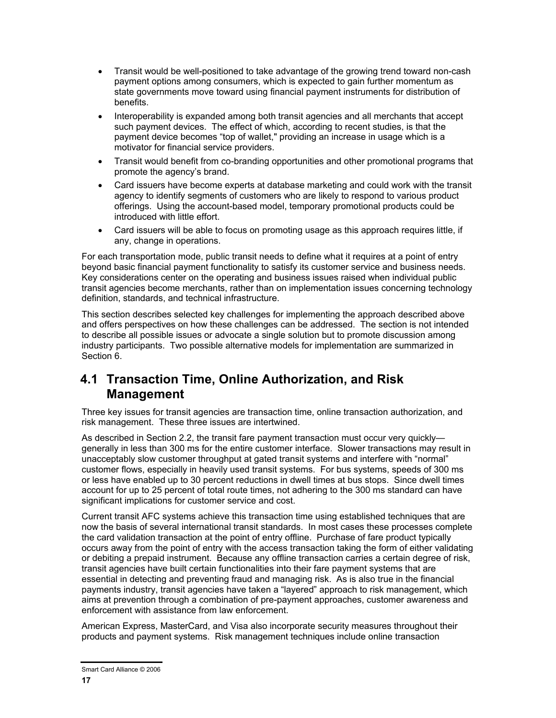- Transit would be well-positioned to take advantage of the growing trend toward non-cash payment options among consumers, which is expected to gain further momentum as state governments move toward using financial payment instruments for distribution of benefits.
- Interoperability is expanded among both transit agencies and all merchants that accept such payment devices. The effect of which, according to recent studies, is that the payment device becomes "top of wallet," providing an increase in usage which is a motivator for financial service providers.
- Transit would benefit from co-branding opportunities and other promotional programs that promote the agency's brand.
- Card issuers have become experts at database marketing and could work with the transit agency to identify segments of customers who are likely to respond to various product offerings. Using the account-based model, temporary promotional products could be introduced with little effort.
- Card issuers will be able to focus on promoting usage as this approach requires little, if any, change in operations.

For each transportation mode, public transit needs to define what it requires at a point of entry beyond basic financial payment functionality to satisfy its customer service and business needs. Key considerations center on the operating and business issues raised when individual public transit agencies become merchants, rather than on implementation issues concerning technology definition, standards, and technical infrastructure.

This section describes selected key challenges for implementing the approach described above and offers perspectives on how these challenges can be addressed. The section is not intended to describe all possible issues or advocate a single solution but to promote discussion among industry participants. Two possible alternative models for implementation are summarized in Section 6.

### **4.1 Transaction Time, Online Authorization, and Risk Management**

Three key issues for transit agencies are transaction time, online transaction authorization, and risk management. These three issues are intertwined.

As described in Section 2.2, the transit fare payment transaction must occur very quickly generally in less than 300 ms for the entire customer interface. Slower transactions may result in unacceptably slow customer throughput at gated transit systems and interfere with "normal" customer flows, especially in heavily used transit systems. For bus systems, speeds of 300 ms or less have enabled up to 30 percent reductions in dwell times at bus stops. Since dwell times account for up to 25 percent of total route times, not adhering to the 300 ms standard can have significant implications for customer service and cost.

Current transit AFC systems achieve this transaction time using established techniques that are now the basis of several international transit standards. In most cases these processes complete the card validation transaction at the point of entry offline. Purchase of fare product typically occurs away from the point of entry with the access transaction taking the form of either validating or debiting a prepaid instrument. Because any offline transaction carries a certain degree of risk, transit agencies have built certain functionalities into their fare payment systems that are essential in detecting and preventing fraud and managing risk. As is also true in the financial payments industry, transit agencies have taken a "layered" approach to risk management, which aims at prevention through a combination of pre-payment approaches, customer awareness and enforcement with assistance from law enforcement.

American Express, MasterCard, and Visa also incorporate security measures throughout their products and payment systems. Risk management techniques include online transaction

Smart Card Alliance © 2006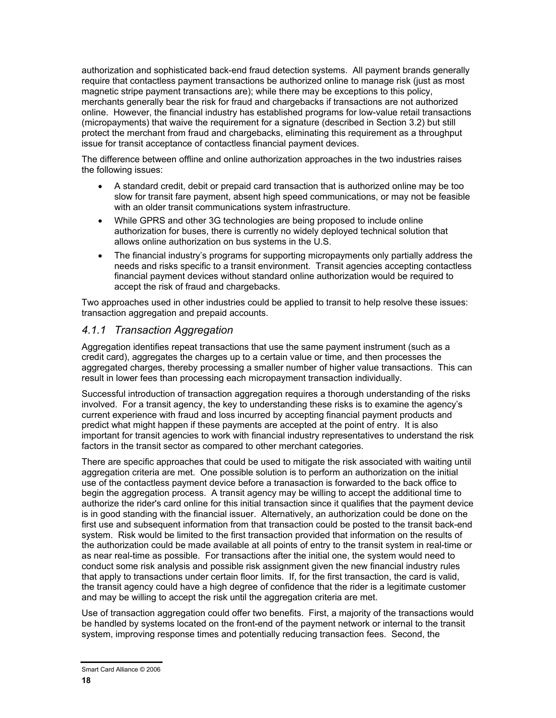authorization and sophisticated back-end fraud detection systems. All payment brands generally require that contactless payment transactions be authorized online to manage risk (just as most magnetic stripe payment transactions are); while there may be exceptions to this policy, merchants generally bear the risk for fraud and chargebacks if transactions are not authorized online. However, the financial industry has established programs for low-value retail transactions (micropayments) that waive the requirement for a signature (described in Section 3.2) but still protect the merchant from fraud and chargebacks, eliminating this requirement as a throughput issue for transit acceptance of contactless financial payment devices.

The difference between offline and online authorization approaches in the two industries raises the following issues:

- A standard credit, debit or prepaid card transaction that is authorized online may be too slow for transit fare payment, absent high speed communications, or may not be feasible with an older transit communications system infrastructure.
- While GPRS and other 3G technologies are being proposed to include online authorization for buses, there is currently no widely deployed technical solution that allows online authorization on bus systems in the U.S.
- The financial industry's programs for supporting micropayments only partially address the needs and risks specific to a transit environment. Transit agencies accepting contactless financial payment devices without standard online authorization would be required to accept the risk of fraud and chargebacks.

Two approaches used in other industries could be applied to transit to help resolve these issues: transaction aggregation and prepaid accounts.

#### *4.1.1 Transaction Aggregation*

Aggregation identifies repeat transactions that use the same payment instrument (such as a credit card), aggregates the charges up to a certain value or time, and then processes the aggregated charges, thereby processing a smaller number of higher value transactions. This can result in lower fees than processing each micropayment transaction individually.

Successful introduction of transaction aggregation requires a thorough understanding of the risks involved. For a transit agency, the key to understanding these risks is to examine the agency's current experience with fraud and loss incurred by accepting financial payment products and predict what might happen if these payments are accepted at the point of entry. It is also important for transit agencies to work with financial industry representatives to understand the risk factors in the transit sector as compared to other merchant categories.

There are specific approaches that could be used to mitigate the risk associated with waiting until aggregation criteria are met. One possible solution is to perform an authorization on the initial use of the contactless payment device before a tranasaction is forwarded to the back office to begin the aggregation process. A transit agency may be willing to accept the additional time to authorize the rider's card online for this initial transaction since it qualifies that the payment device is in good standing with the financial issuer. Alternatively, an authorization could be done on the first use and subsequent information from that transaction could be posted to the transit back-end system. Risk would be limited to the first transaction provided that information on the results of the authorization could be made available at all points of entry to the transit system in real-time or as near real-time as possible. For transactions after the initial one, the system would need to conduct some risk analysis and possible risk assignment given the new financial industry rules that apply to transactions under certain floor limits. If, for the first transaction, the card is valid, the transit agency could have a high degree of confidence that the rider is a legitimate customer and may be willing to accept the risk until the aggregation criteria are met.

Use of transaction aggregation could offer two benefits. First, a majority of the transactions would be handled by systems located on the front-end of the payment network or internal to the transit system, improving response times and potentially reducing transaction fees. Second, the

Smart Card Alliance © 2006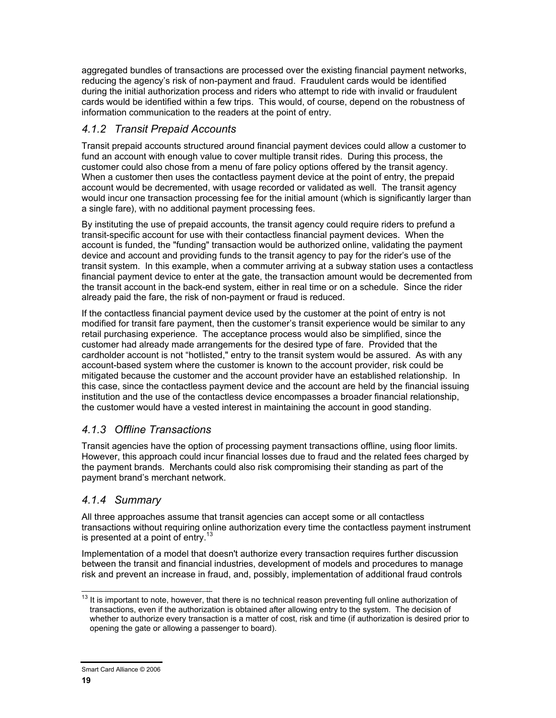aggregated bundles of transactions are processed over the existing financial payment networks, reducing the agency's risk of non-payment and fraud. Fraudulent cards would be identified during the initial authorization process and riders who attempt to ride with invalid or fraudulent cards would be identified within a few trips. This would, of course, depend on the robustness of information communication to the readers at the point of entry.

### *4.1.2 Transit Prepaid Accounts*

Transit prepaid accounts structured around financial payment devices could allow a customer to fund an account with enough value to cover multiple transit rides. During this process, the customer could also chose from a menu of fare policy options offered by the transit agency. When a customer then uses the contactless payment device at the point of entry, the prepaid account would be decremented, with usage recorded or validated as well. The transit agency would incur one transaction processing fee for the initial amount (which is significantly larger than a single fare), with no additional payment processing fees.

By instituting the use of prepaid accounts, the transit agency could require riders to prefund a transit-specific account for use with their contactless financial payment devices. When the account is funded, the "funding" transaction would be authorized online, validating the payment device and account and providing funds to the transit agency to pay for the rider's use of the transit system. In this example, when a commuter arriving at a subway station uses a contactless financial payment device to enter at the gate, the transaction amount would be decremented from the transit account in the back-end system, either in real time or on a schedule. Since the rider already paid the fare, the risk of non-payment or fraud is reduced.

If the contactless financial payment device used by the customer at the point of entry is not modified for transit fare payment, then the customer's transit experience would be similar to any retail purchasing experience. The acceptance process would also be simplified, since the customer had already made arrangements for the desired type of fare. Provided that the cardholder account is not "hotlisted," entry to the transit system would be assured. As with any account-based system where the customer is known to the account provider, risk could be mitigated because the customer and the account provider have an established relationship. In this case, since the contactless payment device and the account are held by the financial issuing institution and the use of the contactless device encompasses a broader financial relationship, the customer would have a vested interest in maintaining the account in good standing.

### *4.1.3 Offline Transactions*

Transit agencies have the option of processing payment transactions offline, using floor limits. However, this approach could incur financial losses due to fraud and the related fees charged by the payment brands. Merchants could also risk compromising their standing as part of the payment brand's merchant network.

### *4.1.4 Summary*

All three approaches assume that transit agencies can accept some or all contactless transactions without requiring online authorization every time the contactless payment instrument is presented at a point of entry.<sup>13</sup>

Implementation of a model that doesn't authorize every transaction requires further discussion between the transit and financial industries, development of models and procedures to manage risk and prevent an increase in fraud, and, possibly, implementation of additional fraud controls

<sup>1</sup>  $13$  It is important to note, however, that there is no technical reason preventing full online authorization of transactions, even if the authorization is obtained after allowing entry to the system. The decision of whether to authorize every transaction is a matter of cost, risk and time (if authorization is desired prior to opening the gate or allowing a passenger to board).

Smart Card Alliance © 2006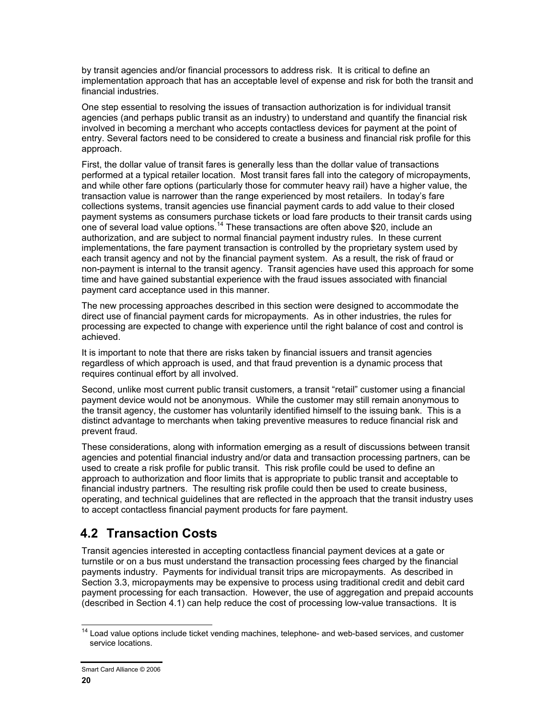by transit agencies and/or financial processors to address risk. It is critical to define an implementation approach that has an acceptable level of expense and risk for both the transit and financial industries.

One step essential to resolving the issues of transaction authorization is for individual transit agencies (and perhaps public transit as an industry) to understand and quantify the financial risk involved in becoming a merchant who accepts contactless devices for payment at the point of entry. Several factors need to be considered to create a business and financial risk profile for this approach.

First, the dollar value of transit fares is generally less than the dollar value of transactions performed at a typical retailer location. Most transit fares fall into the category of micropayments, and while other fare options (particularly those for commuter heavy rail) have a higher value, the transaction value is narrower than the range experienced by most retailers. In today's fare collections systems, transit agencies use financial payment cards to add value to their closed payment systems as consumers purchase tickets or load fare products to their transit cards using one of several load value options.14 These transactions are often above \$20, include an authorization, and are subject to normal financial payment industry rules. In these current implementations, the fare payment transaction is controlled by the proprietary system used by each transit agency and not by the financial payment system. As a result, the risk of fraud or non-payment is internal to the transit agency. Transit agencies have used this approach for some time and have gained substantial experience with the fraud issues associated with financial payment card acceptance used in this manner.

The new processing approaches described in this section were designed to accommodate the direct use of financial payment cards for micropayments. As in other industries, the rules for processing are expected to change with experience until the right balance of cost and control is achieved.

It is important to note that there are risks taken by financial issuers and transit agencies regardless of which approach is used, and that fraud prevention is a dynamic process that requires continual effort by all involved.

Second, unlike most current public transit customers, a transit "retail" customer using a financial payment device would not be anonymous. While the customer may still remain anonymous to the transit agency, the customer has voluntarily identified himself to the issuing bank. This is a distinct advantage to merchants when taking preventive measures to reduce financial risk and prevent fraud.

These considerations, along with information emerging as a result of discussions between transit agencies and potential financial industry and/or data and transaction processing partners, can be used to create a risk profile for public transit. This risk profile could be used to define an approach to authorization and floor limits that is appropriate to public transit and acceptable to financial industry partners. The resulting risk profile could then be used to create business, operating, and technical guidelines that are reflected in the approach that the transit industry uses to accept contactless financial payment products for fare payment.

### **4.2 Transaction Costs**

Transit agencies interested in accepting contactless financial payment devices at a gate or turnstile or on a bus must understand the transaction processing fees charged by the financial payments industry. Payments for individual transit trips are micropayments. As described in Section 3.3, micropayments may be expensive to process using traditional credit and debit card payment processing for each transaction. However, the use of aggregation and prepaid accounts (described in Section 4.1) can help reduce the cost of processing low-value transactions. It is

 $\overline{\phantom{a}}$ <sup>14</sup> Load value options include ticket vending machines, telephone- and web-based services, and customer service locations.

Smart Card Alliance © 2006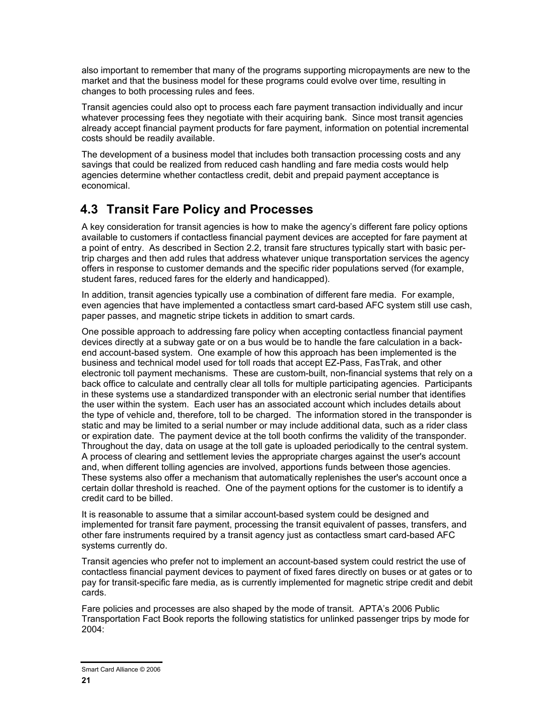also important to remember that many of the programs supporting micropayments are new to the market and that the business model for these programs could evolve over time, resulting in changes to both processing rules and fees.

Transit agencies could also opt to process each fare payment transaction individually and incur whatever processing fees they negotiate with their acquiring bank. Since most transit agencies already accept financial payment products for fare payment, information on potential incremental costs should be readily available.

The development of a business model that includes both transaction processing costs and any savings that could be realized from reduced cash handling and fare media costs would help agencies determine whether contactless credit, debit and prepaid payment acceptance is economical.

### **4.3 Transit Fare Policy and Processes**

A key consideration for transit agencies is how to make the agency's different fare policy options available to customers if contactless financial payment devices are accepted for fare payment at a point of entry. As described in Section 2.2, transit fare structures typically start with basic pertrip charges and then add rules that address whatever unique transportation services the agency offers in response to customer demands and the specific rider populations served (for example, student fares, reduced fares for the elderly and handicapped).

In addition, transit agencies typically use a combination of different fare media. For example, even agencies that have implemented a contactless smart card-based AFC system still use cash, paper passes, and magnetic stripe tickets in addition to smart cards.

One possible approach to addressing fare policy when accepting contactless financial payment devices directly at a subway gate or on a bus would be to handle the fare calculation in a backend account-based system. One example of how this approach has been implemented is the business and technical model used for toll roads that accept EZ-Pass, FasTrak, and other electronic toll payment mechanisms. These are custom-built, non-financial systems that rely on a back office to calculate and centrally clear all tolls for multiple participating agencies. Participants in these systems use a standardized transponder with an electronic serial number that identifies the user within the system. Each user has an associated account which includes details about the type of vehicle and, therefore, toll to be charged. The information stored in the transponder is static and may be limited to a serial number or may include additional data, such as a rider class or expiration date. The payment device at the toll booth confirms the validity of the transponder. Throughout the day, data on usage at the toll gate is uploaded periodically to the central system. A process of clearing and settlement levies the appropriate charges against the user's account and, when different tolling agencies are involved, apportions funds between those agencies. These systems also offer a mechanism that automatically replenishes the user's account once a certain dollar threshold is reached. One of the payment options for the customer is to identify a credit card to be billed.

It is reasonable to assume that a similar account-based system could be designed and implemented for transit fare payment, processing the transit equivalent of passes, transfers, and other fare instruments required by a transit agency just as contactless smart card-based AFC systems currently do.

Transit agencies who prefer not to implement an account-based system could restrict the use of contactless financial payment devices to payment of fixed fares directly on buses or at gates or to pay for transit-specific fare media, as is currently implemented for magnetic stripe credit and debit cards.

Fare policies and processes are also shaped by the mode of transit. APTA's 2006 Public Transportation Fact Book reports the following statistics for unlinked passenger trips by mode for 2004:

Smart Card Alliance © 2006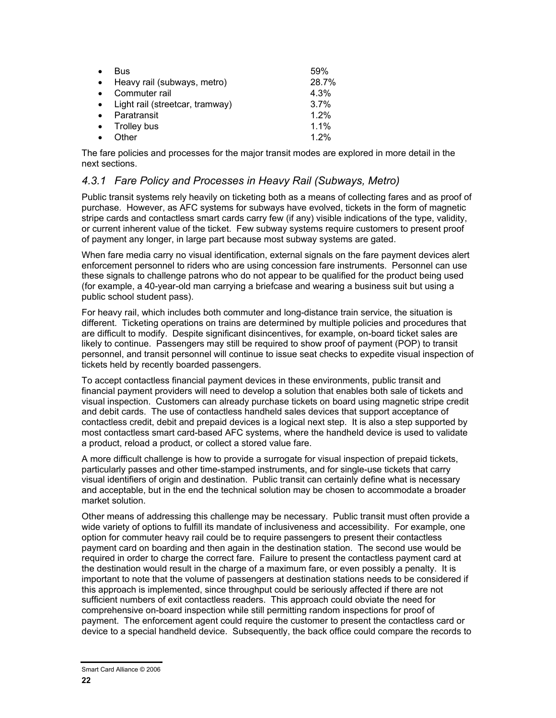| $\bullet$ | <b>Bus</b>                        | .59%    |
|-----------|-----------------------------------|---------|
| $\bullet$ | Heavy rail (subways, metro)       | 28.7%   |
| $\bullet$ | Commuter rail                     | 4.3%    |
|           | • Light rail (streetcar, tramway) | 3.7%    |
| $\bullet$ | Paratransit                       | 1.2%    |
|           | • Trolley bus                     | $1.1\%$ |
|           | Other                             | 1.2%    |

The fare policies and processes for the major transit modes are explored in more detail in the next sections.

#### *4.3.1 Fare Policy and Processes in Heavy Rail (Subways, Metro)*

Public transit systems rely heavily on ticketing both as a means of collecting fares and as proof of purchase. However, as AFC systems for subways have evolved, tickets in the form of magnetic stripe cards and contactless smart cards carry few (if any) visible indications of the type, validity, or current inherent value of the ticket. Few subway systems require customers to present proof of payment any longer, in large part because most subway systems are gated.

When fare media carry no visual identification, external signals on the fare payment devices alert enforcement personnel to riders who are using concession fare instruments. Personnel can use these signals to challenge patrons who do not appear to be qualified for the product being used (for example, a 40-year-old man carrying a briefcase and wearing a business suit but using a public school student pass).

For heavy rail, which includes both commuter and long-distance train service, the situation is different. Ticketing operations on trains are determined by multiple policies and procedures that are difficult to modify. Despite significant disincentives, for example, on-board ticket sales are likely to continue. Passengers may still be required to show proof of payment (POP) to transit personnel, and transit personnel will continue to issue seat checks to expedite visual inspection of tickets held by recently boarded passengers.

To accept contactless financial payment devices in these environments, public transit and financial payment providers will need to develop a solution that enables both sale of tickets and visual inspection. Customers can already purchase tickets on board using magnetic stripe credit and debit cards. The use of contactless handheld sales devices that support acceptance of contactless credit, debit and prepaid devices is a logical next step. It is also a step supported by most contactless smart card-based AFC systems, where the handheld device is used to validate a product, reload a product, or collect a stored value fare.

A more difficult challenge is how to provide a surrogate for visual inspection of prepaid tickets, particularly passes and other time-stamped instruments, and for single-use tickets that carry visual identifiers of origin and destination. Public transit can certainly define what is necessary and acceptable, but in the end the technical solution may be chosen to accommodate a broader market solution.

Other means of addressing this challenge may be necessary. Public transit must often provide a wide variety of options to fulfill its mandate of inclusiveness and accessibility. For example, one option for commuter heavy rail could be to require passengers to present their contactless payment card on boarding and then again in the destination station. The second use would be required in order to charge the correct fare. Failure to present the contactless payment card at the destination would result in the charge of a maximum fare, or even possibly a penalty. It is important to note that the volume of passengers at destination stations needs to be considered if this approach is implemented, since throughput could be seriously affected if there are not sufficient numbers of exit contactless readers. This approach could obviate the need for comprehensive on-board inspection while still permitting random inspections for proof of payment. The enforcement agent could require the customer to present the contactless card or device to a special handheld device. Subsequently, the back office could compare the records to

Smart Card Alliance © 2006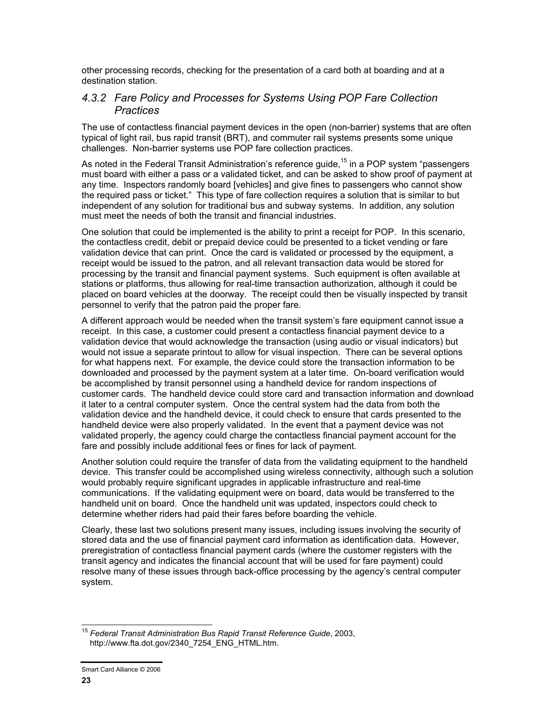other processing records, checking for the presentation of a card both at boarding and at a destination station.

#### *4.3.2 Fare Policy and Processes for Systems Using POP Fare Collection Practices*

The use of contactless financial payment devices in the open (non-barrier) systems that are often typical of light rail, bus rapid transit (BRT), and commuter rail systems presents some unique challenges. Non-barrier systems use POP fare collection practices.

As noted in the Federal Transit Administration's reference guide,<sup>15</sup> in a POP system "passengers must board with either a pass or a validated ticket, and can be asked to show proof of payment at any time. Inspectors randomly board [vehicles] and give fines to passengers who cannot show the required pass or ticket." This type of fare collection requires a solution that is similar to but independent of any solution for traditional bus and subway systems. In addition, any solution must meet the needs of both the transit and financial industries.

One solution that could be implemented is the ability to print a receipt for POP. In this scenario, the contactless credit, debit or prepaid device could be presented to a ticket vending or fare validation device that can print. Once the card is validated or processed by the equipment, a receipt would be issued to the patron, and all relevant transaction data would be stored for processing by the transit and financial payment systems. Such equipment is often available at stations or platforms, thus allowing for real-time transaction authorization, although it could be placed on board vehicles at the doorway. The receipt could then be visually inspected by transit personnel to verify that the patron paid the proper fare.

A different approach would be needed when the transit system's fare equipment cannot issue a receipt. In this case, a customer could present a contactless financial payment device to a validation device that would acknowledge the transaction (using audio or visual indicators) but would not issue a separate printout to allow for visual inspection. There can be several options for what happens next. For example, the device could store the transaction information to be downloaded and processed by the payment system at a later time. On-board verification would be accomplished by transit personnel using a handheld device for random inspections of customer cards. The handheld device could store card and transaction information and download it later to a central computer system. Once the central system had the data from both the validation device and the handheld device, it could check to ensure that cards presented to the handheld device were also properly validated. In the event that a payment device was not validated properly, the agency could charge the contactless financial payment account for the fare and possibly include additional fees or fines for lack of payment.

Another solution could require the transfer of data from the validating equipment to the handheld device. This transfer could be accomplished using wireless connectivity, although such a solution would probably require significant upgrades in applicable infrastructure and real-time communications. If the validating equipment were on board, data would be transferred to the handheld unit on board. Once the handheld unit was updated, inspectors could check to determine whether riders had paid their fares before boarding the vehicle.

Clearly, these last two solutions present many issues, including issues involving the security of stored data and the use of financial payment card information as identification data. However, preregistration of contactless financial payment cards (where the customer registers with the transit agency and indicates the financial account that will be used for fare payment) could resolve many of these issues through back-office processing by the agency's central computer system.

 <sup>15</sup> *Federal Transit Administration Bus Rapid Transit Reference Guide*, 2003, http://www.fta.dot.gov/2340\_7254\_ENG\_HTML.htm.

Smart Card Alliance © 2006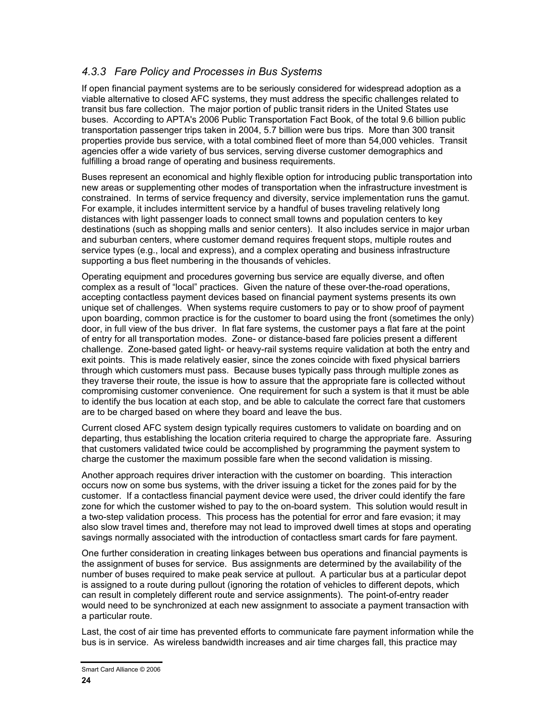#### *4.3.3 Fare Policy and Processes in Bus Systems*

If open financial payment systems are to be seriously considered for widespread adoption as a viable alternative to closed AFC systems, they must address the specific challenges related to transit bus fare collection. The major portion of public transit riders in the United States use buses. According to APTA's 2006 Public Transportation Fact Book, of the total 9.6 billion public transportation passenger trips taken in 2004, 5.7 billion were bus trips. More than 300 transit properties provide bus service, with a total combined fleet of more than 54,000 vehicles. Transit agencies offer a wide variety of bus services, serving diverse customer demographics and fulfilling a broad range of operating and business requirements.

Buses represent an economical and highly flexible option for introducing public transportation into new areas or supplementing other modes of transportation when the infrastructure investment is constrained. In terms of service frequency and diversity, service implementation runs the gamut. For example, it includes intermittent service by a handful of buses traveling relatively long distances with light passenger loads to connect small towns and population centers to key destinations (such as shopping malls and senior centers). It also includes service in major urban and suburban centers, where customer demand requires frequent stops, multiple routes and service types (e.g., local and express), and a complex operating and business infrastructure supporting a bus fleet numbering in the thousands of vehicles.

Operating equipment and procedures governing bus service are equally diverse, and often complex as a result of "local" practices. Given the nature of these over-the-road operations, accepting contactless payment devices based on financial payment systems presents its own unique set of challenges. When systems require customers to pay or to show proof of payment upon boarding, common practice is for the customer to board using the front (sometimes the only) door, in full view of the bus driver. In flat fare systems, the customer pays a flat fare at the point of entry for all transportation modes. Zone- or distance-based fare policies present a different challenge. Zone-based gated light- or heavy-rail systems require validation at both the entry and exit points. This is made relatively easier, since the zones coincide with fixed physical barriers through which customers must pass. Because buses typically pass through multiple zones as they traverse their route, the issue is how to assure that the appropriate fare is collected without compromising customer convenience. One requirement for such a system is that it must be able to identify the bus location at each stop, and be able to calculate the correct fare that customers are to be charged based on where they board and leave the bus.

Current closed AFC system design typically requires customers to validate on boarding and on departing, thus establishing the location criteria required to charge the appropriate fare. Assuring that customers validated twice could be accomplished by programming the payment system to charge the customer the maximum possible fare when the second validation is missing.

Another approach requires driver interaction with the customer on boarding. This interaction occurs now on some bus systems, with the driver issuing a ticket for the zones paid for by the customer. If a contactless financial payment device were used, the driver could identify the fare zone for which the customer wished to pay to the on-board system. This solution would result in a two-step validation process. This process has the potential for error and fare evasion; it may also slow travel times and, therefore may not lead to improved dwell times at stops and operating savings normally associated with the introduction of contactless smart cards for fare payment.

One further consideration in creating linkages between bus operations and financial payments is the assignment of buses for service. Bus assignments are determined by the availability of the number of buses required to make peak service at pullout. A particular bus at a particular depot is assigned to a route during pullout (ignoring the rotation of vehicles to different depots, which can result in completely different route and service assignments). The point-of-entry reader would need to be synchronized at each new assignment to associate a payment transaction with a particular route.

Last, the cost of air time has prevented efforts to communicate fare payment information while the bus is in service. As wireless bandwidth increases and air time charges fall, this practice may

Smart Card Alliance © 2006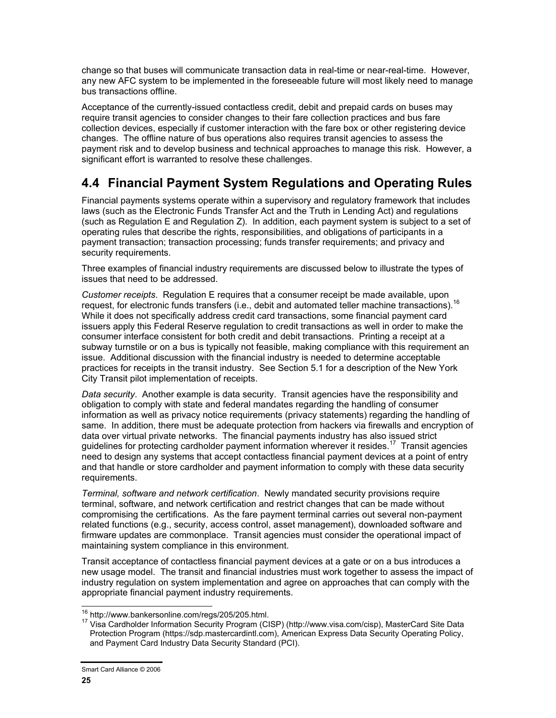change so that buses will communicate transaction data in real-time or near-real-time. However, any new AFC system to be implemented in the foreseeable future will most likely need to manage bus transactions offline.

Acceptance of the currently-issued contactless credit, debit and prepaid cards on buses may require transit agencies to consider changes to their fare collection practices and bus fare collection devices, especially if customer interaction with the fare box or other registering device changes. The offline nature of bus operations also requires transit agencies to assess the payment risk and to develop business and technical approaches to manage this risk. However, a significant effort is warranted to resolve these challenges.

### **4.4 Financial Payment System Regulations and Operating Rules**

Financial payments systems operate within a supervisory and regulatory framework that includes laws (such as the Electronic Funds Transfer Act and the Truth in Lending Act) and regulations (such as Regulation E and Regulation Z). In addition, each payment system is subject to a set of operating rules that describe the rights, responsibilities, and obligations of participants in a payment transaction; transaction processing; funds transfer requirements; and privacy and security requirements.

Three examples of financial industry requirements are discussed below to illustrate the types of issues that need to be addressed.

*Customer receipts*. Regulation E requires that a consumer receipt be made available, upon request, for electronic funds transfers (i.e., debit and automated teller machine transactions).<sup>16</sup> While it does not specifically address credit card transactions, some financial payment card issuers apply this Federal Reserve regulation to credit transactions as well in order to make the consumer interface consistent for both credit and debit transactions. Printing a receipt at a subway turnstile or on a bus is typically not feasible, making compliance with this requirement an issue. Additional discussion with the financial industry is needed to determine acceptable practices for receipts in the transit industry. See Section 5.1 for a description of the New York City Transit pilot implementation of receipts.

*Data security*. Another example is data security. Transit agencies have the responsibility and obligation to comply with state and federal mandates regarding the handling of consumer information as well as privacy notice requirements (privacy statements) regarding the handling of same. In addition, there must be adequate protection from hackers via firewalls and encryption of data over virtual private networks. The financial payments industry has also issued strict guidelines for protecting cardholder payment information wherever it resides.<sup>17</sup> Transit agencies need to design any systems that accept contactless financial payment devices at a point of entry and that handle or store cardholder and payment information to comply with these data security requirements.

*Terminal, software and network certification*. Newly mandated security provisions require terminal, software, and network certification and restrict changes that can be made without compromising the certifications. As the fare payment terminal carries out several non-payment related functions (e.g., security, access control, asset management), downloaded software and firmware updates are commonplace. Transit agencies must consider the operational impact of maintaining system compliance in this environment.

Transit acceptance of contactless financial payment devices at a gate or on a bus introduces a new usage model. The transit and financial industries must work together to assess the impact of industry regulation on system implementation and agree on approaches that can comply with the appropriate financial payment industry requirements.

<sup>&</sup>lt;sup>16</sup> http://www.bankersonline.com/regs/205/205.html.

<sup>17</sup> Visa Cardholder Information Security Program (CISP) (http://www.visa.com/cisp), MasterCard Site Data Protection Program (https://sdp.mastercardintl.com), American Express Data Security Operating Policy, and Payment Card Industry Data Security Standard (PCI).

Smart Card Alliance © 2006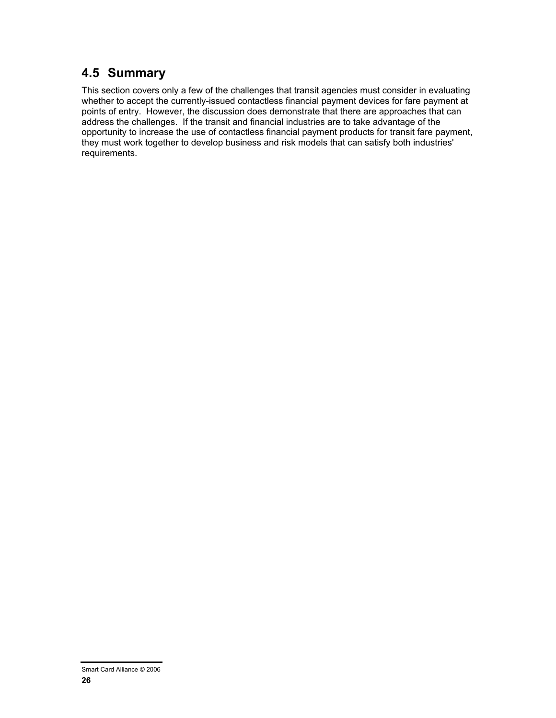### **4.5 Summary**

This section covers only a few of the challenges that transit agencies must consider in evaluating whether to accept the currently-issued contactless financial payment devices for fare payment at points of entry. However, the discussion does demonstrate that there are approaches that can address the challenges. If the transit and financial industries are to take advantage of the opportunity to increase the use of contactless financial payment products for transit fare payment, they must work together to develop business and risk models that can satisfy both industries' requirements.

Smart Card Alliance © 2006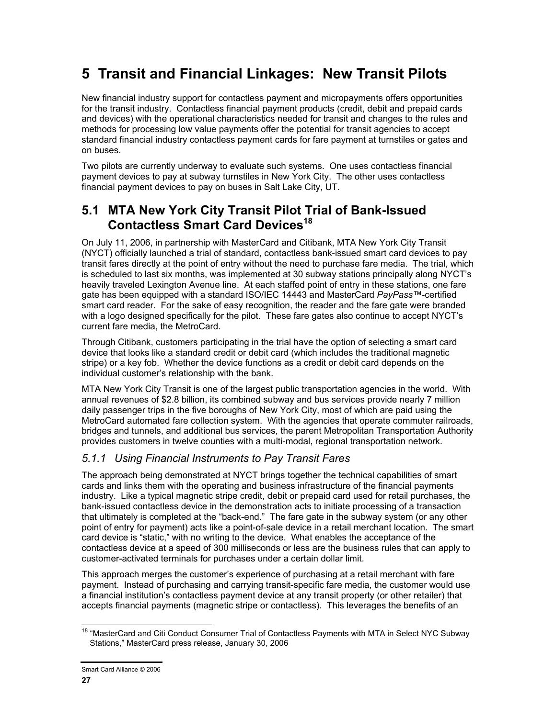# **5 Transit and Financial Linkages: New Transit Pilots**

New financial industry support for contactless payment and micropayments offers opportunities for the transit industry. Contactless financial payment products (credit, debit and prepaid cards and devices) with the operational characteristics needed for transit and changes to the rules and methods for processing low value payments offer the potential for transit agencies to accept standard financial industry contactless payment cards for fare payment at turnstiles or gates and on buses.

Two pilots are currently underway to evaluate such systems. One uses contactless financial payment devices to pay at subway turnstiles in New York City. The other uses contactless financial payment devices to pay on buses in Salt Lake City, UT.

### **5.1 MTA New York City Transit Pilot Trial of Bank-Issued Contactless Smart Card Devices<sup>18</sup>**

On July 11, 2006, in partnership with MasterCard and Citibank, MTA New York City Transit (NYCT) officially launched a trial of standard, contactless bank-issued smart card devices to pay transit fares directly at the point of entry without the need to purchase fare media. The trial, which is scheduled to last six months, was implemented at 30 subway stations principally along NYCT's heavily traveled Lexington Avenue line. At each staffed point of entry in these stations, one fare gate has been equipped with a standard ISO/IEC 14443 and MasterCard *PayPass™*-certified smart card reader. For the sake of easy recognition, the reader and the fare gate were branded with a logo designed specifically for the pilot. These fare gates also continue to accept NYCT's current fare media, the MetroCard.

Through Citibank, customers participating in the trial have the option of selecting a smart card device that looks like a standard credit or debit card (which includes the traditional magnetic stripe) or a key fob. Whether the device functions as a credit or debit card depends on the individual customer's relationship with the bank.

MTA New York City Transit is one of the largest public transportation agencies in the world. With annual revenues of \$2.8 billion, its combined subway and bus services provide nearly 7 million daily passenger trips in the five boroughs of New York City, most of which are paid using the MetroCard automated fare collection system. With the agencies that operate commuter railroads, bridges and tunnels, and additional bus services, the parent Metropolitan Transportation Authority provides customers in twelve counties with a multi-modal, regional transportation network.

### *5.1.1 Using Financial Instruments to Pay Transit Fares*

The approach being demonstrated at NYCT brings together the technical capabilities of smart cards and links them with the operating and business infrastructure of the financial payments industry. Like a typical magnetic stripe credit, debit or prepaid card used for retail purchases, the bank-issued contactless device in the demonstration acts to initiate processing of a transaction that ultimately is completed at the "back-end." The fare gate in the subway system (or any other point of entry for payment) acts like a point-of-sale device in a retail merchant location. The smart card device is "static," with no writing to the device. What enables the acceptance of the contactless device at a speed of 300 milliseconds or less are the business rules that can apply to customer-activated terminals for purchases under a certain dollar limit.

This approach merges the customer's experience of purchasing at a retail merchant with fare payment. Instead of purchasing and carrying transit-specific fare media, the customer would use a financial institution's contactless payment device at any transit property (or other retailer) that accepts financial payments (magnetic stripe or contactless). This leverages the benefits of an

 $\overline{\phantom{a}}$ <sup>18</sup> "MasterCard and Citi Conduct Consumer Trial of Contactless Payments with MTA in Select NYC Subway Stations," MasterCard press release, January 30, 2006

Smart Card Alliance © 2006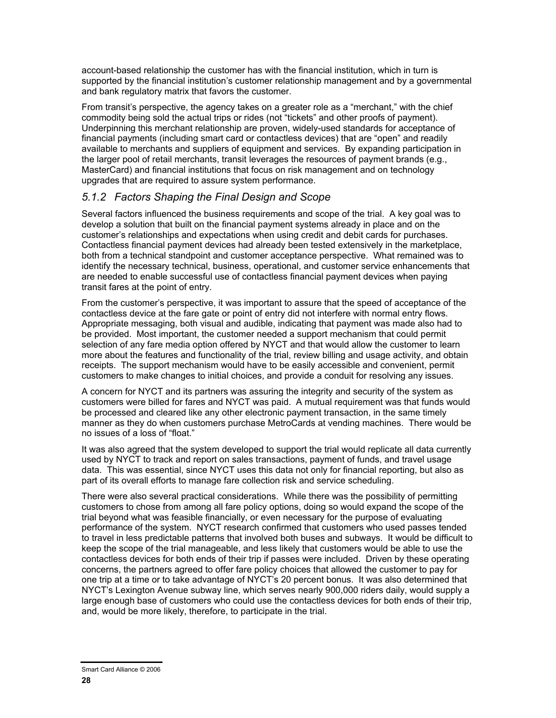account-based relationship the customer has with the financial institution, which in turn is supported by the financial institution's customer relationship management and by a governmental and bank regulatory matrix that favors the customer.

From transit's perspective, the agency takes on a greater role as a "merchant," with the chief commodity being sold the actual trips or rides (not "tickets" and other proofs of payment). Underpinning this merchant relationship are proven, widely-used standards for acceptance of financial payments (including smart card or contactless devices) that are "open" and readily available to merchants and suppliers of equipment and services. By expanding participation in the larger pool of retail merchants, transit leverages the resources of payment brands (e.g., MasterCard) and financial institutions that focus on risk management and on technology upgrades that are required to assure system performance.

#### *5.1.2 Factors Shaping the Final Design and Scope*

Several factors influenced the business requirements and scope of the trial. A key goal was to develop a solution that built on the financial payment systems already in place and on the customer's relationships and expectations when using credit and debit cards for purchases. Contactless financial payment devices had already been tested extensively in the marketplace, both from a technical standpoint and customer acceptance perspective. What remained was to identify the necessary technical, business, operational, and customer service enhancements that are needed to enable successful use of contactless financial payment devices when paying transit fares at the point of entry.

From the customer's perspective, it was important to assure that the speed of acceptance of the contactless device at the fare gate or point of entry did not interfere with normal entry flows. Appropriate messaging, both visual and audible, indicating that payment was made also had to be provided. Most important, the customer needed a support mechanism that could permit selection of any fare media option offered by NYCT and that would allow the customer to learn more about the features and functionality of the trial, review billing and usage activity, and obtain receipts. The support mechanism would have to be easily accessible and convenient, permit customers to make changes to initial choices, and provide a conduit for resolving any issues.

A concern for NYCT and its partners was assuring the integrity and security of the system as customers were billed for fares and NYCT was paid. A mutual requirement was that funds would be processed and cleared like any other electronic payment transaction, in the same timely manner as they do when customers purchase MetroCards at vending machines. There would be no issues of a loss of "float."

It was also agreed that the system developed to support the trial would replicate all data currently used by NYCT to track and report on sales transactions, payment of funds, and travel usage data. This was essential, since NYCT uses this data not only for financial reporting, but also as part of its overall efforts to manage fare collection risk and service scheduling.

There were also several practical considerations. While there was the possibility of permitting customers to chose from among all fare policy options, doing so would expand the scope of the trial beyond what was feasible financially, or even necessary for the purpose of evaluating performance of the system. NYCT research confirmed that customers who used passes tended to travel in less predictable patterns that involved both buses and subways. It would be difficult to keep the scope of the trial manageable, and less likely that customers would be able to use the contactless devices for both ends of their trip if passes were included. Driven by these operating concerns, the partners agreed to offer fare policy choices that allowed the customer to pay for one trip at a time or to take advantage of NYCT's 20 percent bonus. It was also determined that NYCT's Lexington Avenue subway line, which serves nearly 900,000 riders daily, would supply a large enough base of customers who could use the contactless devices for both ends of their trip, and, would be more likely, therefore, to participate in the trial.

Smart Card Alliance © 2006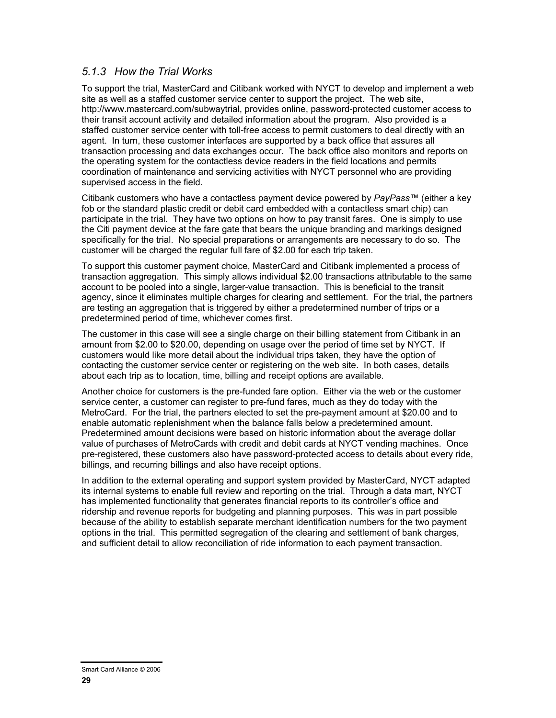#### *5.1.3 How the Trial Works*

To support the trial, MasterCard and Citibank worked with NYCT to develop and implement a web site as well as a staffed customer service center to support the project. The web site, http://www.mastercard.com/subwaytrial, provides online, password-protected customer access to their transit account activity and detailed information about the program. Also provided is a staffed customer service center with toll-free access to permit customers to deal directly with an agent. In turn, these customer interfaces are supported by a back office that assures all transaction processing and data exchanges occur. The back office also monitors and reports on the operating system for the contactless device readers in the field locations and permits coordination of maintenance and servicing activities with NYCT personnel who are providing supervised access in the field.

Citibank customers who have a contactless payment device powered by *PayPass™* (either a key fob or the standard plastic credit or debit card embedded with a contactless smart chip) can participate in the trial. They have two options on how to pay transit fares. One is simply to use the Citi payment device at the fare gate that bears the unique branding and markings designed specifically for the trial. No special preparations or arrangements are necessary to do so. The customer will be charged the regular full fare of \$2.00 for each trip taken.

To support this customer payment choice, MasterCard and Citibank implemented a process of transaction aggregation. This simply allows individual \$2.00 transactions attributable to the same account to be pooled into a single, larger-value transaction. This is beneficial to the transit agency, since it eliminates multiple charges for clearing and settlement. For the trial, the partners are testing an aggregation that is triggered by either a predetermined number of trips or a predetermined period of time, whichever comes first.

The customer in this case will see a single charge on their billing statement from Citibank in an amount from \$2.00 to \$20.00, depending on usage over the period of time set by NYCT. If customers would like more detail about the individual trips taken, they have the option of contacting the customer service center or registering on the web site. In both cases, details about each trip as to location, time, billing and receipt options are available.

Another choice for customers is the pre-funded fare option. Either via the web or the customer service center, a customer can register to pre-fund fares, much as they do today with the MetroCard. For the trial, the partners elected to set the pre-payment amount at \$20.00 and to enable automatic replenishment when the balance falls below a predetermined amount. Predetermined amount decisions were based on historic information about the average dollar value of purchases of MetroCards with credit and debit cards at NYCT vending machines. Once pre-registered, these customers also have password-protected access to details about every ride, billings, and recurring billings and also have receipt options.

In addition to the external operating and support system provided by MasterCard, NYCT adapted its internal systems to enable full review and reporting on the trial. Through a data mart, NYCT has implemented functionality that generates financial reports to its controller's office and ridership and revenue reports for budgeting and planning purposes. This was in part possible because of the ability to establish separate merchant identification numbers for the two payment options in the trial. This permitted segregation of the clearing and settlement of bank charges, and sufficient detail to allow reconciliation of ride information to each payment transaction.

Smart Card Alliance © 2006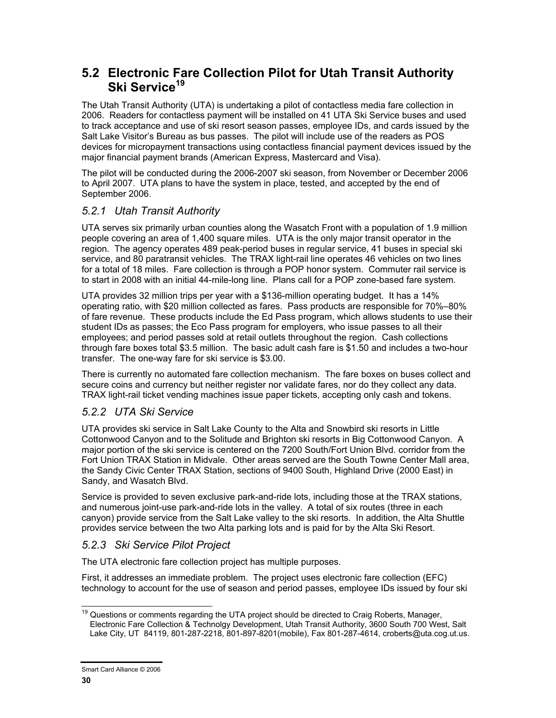### **5.2 Electronic Fare Collection Pilot for Utah Transit Authority Ski Service<sup>19</sup>**

The Utah Transit Authority (UTA) is undertaking a pilot of contactless media fare collection in 2006. Readers for contactless payment will be installed on 41 UTA Ski Service buses and used to track acceptance and use of ski resort season passes, employee IDs, and cards issued by the Salt Lake Visitor's Bureau as bus passes. The pilot will include use of the readers as POS devices for micropayment transactions using contactless financial payment devices issued by the major financial payment brands (American Express, Mastercard and Visa).

The pilot will be conducted during the 2006-2007 ski season, from November or December 2006 to April 2007. UTA plans to have the system in place, tested, and accepted by the end of September 2006.

#### *5.2.1 Utah Transit Authority*

UTA serves six primarily urban counties along the Wasatch Front with a population of 1.9 million people covering an area of 1,400 square miles. UTA is the only major transit operator in the region. The agency operates 489 peak-period buses in regular service, 41 buses in special ski service, and 80 paratransit vehicles. The TRAX light-rail line operates 46 vehicles on two lines for a total of 18 miles. Fare collection is through a POP honor system. Commuter rail service is to start in 2008 with an initial 44-mile-long line. Plans call for a POP zone-based fare system.

UTA provides 32 million trips per year with a \$136-million operating budget. It has a 14% operating ratio, with \$20 million collected as fares. Pass products are responsible for 70%–80% of fare revenue. These products include the Ed Pass program, which allows students to use their student IDs as passes; the Eco Pass program for employers, who issue passes to all their employees; and period passes sold at retail outlets throughout the region. Cash collections through fare boxes total \$3.5 million. The basic adult cash fare is \$1.50 and includes a two-hour transfer. The one-way fare for ski service is \$3.00.

There is currently no automated fare collection mechanism. The fare boxes on buses collect and secure coins and currency but neither register nor validate fares, nor do they collect any data. TRAX light-rail ticket vending machines issue paper tickets, accepting only cash and tokens.

#### *5.2.2 UTA Ski Service*

UTA provides ski service in Salt Lake County to the Alta and Snowbird ski resorts in Little Cottonwood Canyon and to the Solitude and Brighton ski resorts in Big Cottonwood Canyon. A major portion of the ski service is centered on the 7200 South/Fort Union Blvd. corridor from the Fort Union TRAX Station in Midvale. Other areas served are the South Towne Center Mall area, the Sandy Civic Center TRAX Station, sections of 9400 South, Highland Drive (2000 East) in Sandy, and Wasatch Blvd.

Service is provided to seven exclusive park-and-ride lots, including those at the TRAX stations, and numerous joint-use park-and-ride lots in the valley. A total of six routes (three in each canyon) provide service from the Salt Lake valley to the ski resorts. In addition, the Alta Shuttle provides service between the two Alta parking lots and is paid for by the Alta Ski Resort.

#### *5.2.3 Ski Service Pilot Project*

The UTA electronic fare collection project has multiple purposes.

First, it addresses an immediate problem. The project uses electronic fare collection (EFC) technology to account for the use of season and period passes, employee IDs issued by four ski

 $\overline{\phantom{a}}$ <sup>19</sup> Questions or comments regarding the UTA project should be directed to Craig Roberts, Manager, Electronic Fare Collection & Technolgy Development, Utah Transit Authority, 3600 South 700 West, Salt Lake City, UT 84119, 801-287-2218, 801-897-8201(mobile), Fax 801-287-4614, croberts@uta.cog.ut.us.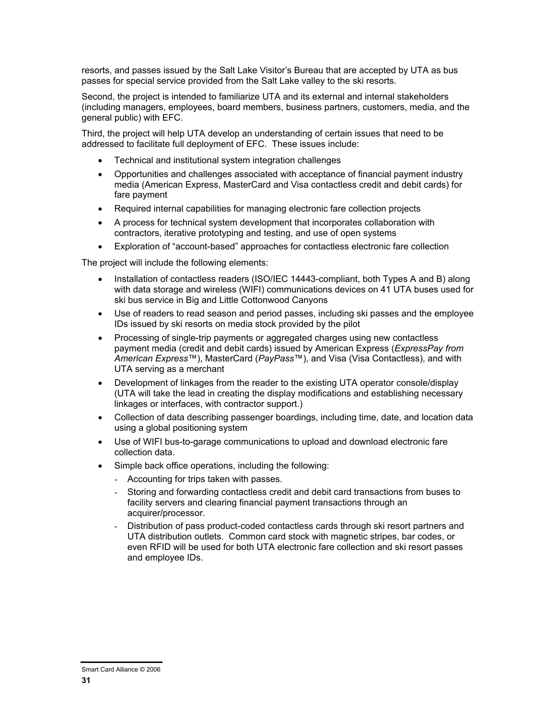resorts, and passes issued by the Salt Lake Visitor's Bureau that are accepted by UTA as bus passes for special service provided from the Salt Lake valley to the ski resorts.

Second, the project is intended to familiarize UTA and its external and internal stakeholders (including managers, employees, board members, business partners, customers, media, and the general public) with EFC.

Third, the project will help UTA develop an understanding of certain issues that need to be addressed to facilitate full deployment of EFC. These issues include:

- Technical and institutional system integration challenges
- Opportunities and challenges associated with acceptance of financial payment industry media (American Express, MasterCard and Visa contactless credit and debit cards) for fare payment
- Required internal capabilities for managing electronic fare collection projects
- A process for technical system development that incorporates collaboration with contractors, iterative prototyping and testing, and use of open systems
- Exploration of "account-based" approaches for contactless electronic fare collection

The project will include the following elements:

- Installation of contactless readers (ISO/IEC 14443-compliant, both Types A and B) along with data storage and wireless (WIFI) communications devices on 41 UTA buses used for ski bus service in Big and Little Cottonwood Canyons
- Use of readers to read season and period passes, including ski passes and the employee IDs issued by ski resorts on media stock provided by the pilot
- Processing of single-trip payments or aggregated charges using new contactless payment media (credit and debit cards) issued by American Express (*ExpressPay from American Express*™), MasterCard (*PayPass*™), and Visa (Visa Contactless), and with UTA serving as a merchant
- Development of linkages from the reader to the existing UTA operator console/display (UTA will take the lead in creating the display modifications and establishing necessary linkages or interfaces, with contractor support.)
- Collection of data describing passenger boardings, including time, date, and location data using a global positioning system
- Use of WIFI bus-to-garage communications to upload and download electronic fare collection data.
- Simple back office operations, including the following:
	- Accounting for trips taken with passes.
	- Storing and forwarding contactless credit and debit card transactions from buses to facility servers and clearing financial payment transactions through an acquirer/processor.
	- Distribution of pass product-coded contactless cards through ski resort partners and UTA distribution outlets. Common card stock with magnetic stripes, bar codes, or even RFID will be used for both UTA electronic fare collection and ski resort passes and employee IDs.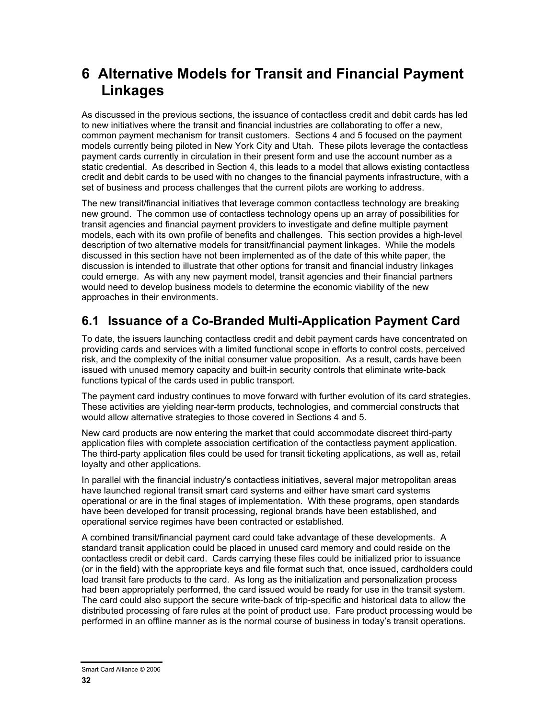# **6 Alternative Models for Transit and Financial Payment Linkages**

As discussed in the previous sections, the issuance of contactless credit and debit cards has led to new initiatives where the transit and financial industries are collaborating to offer a new, common payment mechanism for transit customers. Sections 4 and 5 focused on the payment models currently being piloted in New York City and Utah. These pilots leverage the contactless payment cards currently in circulation in their present form and use the account number as a static credential. As described in Section 4, this leads to a model that allows existing contactless credit and debit cards to be used with no changes to the financial payments infrastructure, with a set of business and process challenges that the current pilots are working to address.

The new transit/financial initiatives that leverage common contactless technology are breaking new ground. The common use of contactless technology opens up an array of possibilities for transit agencies and financial payment providers to investigate and define multiple payment models, each with its own profile of benefits and challenges. This section provides a high-level description of two alternative models for transit/financial payment linkages. While the models discussed in this section have not been implemented as of the date of this white paper, the discussion is intended to illustrate that other options for transit and financial industry linkages could emerge. As with any new payment model, transit agencies and their financial partners would need to develop business models to determine the economic viability of the new approaches in their environments.

### **6.1 Issuance of a Co-Branded Multi-Application Payment Card**

To date, the issuers launching contactless credit and debit payment cards have concentrated on providing cards and services with a limited functional scope in efforts to control costs, perceived risk, and the complexity of the initial consumer value proposition. As a result, cards have been issued with unused memory capacity and built-in security controls that eliminate write-back functions typical of the cards used in public transport.

The payment card industry continues to move forward with further evolution of its card strategies. These activities are yielding near-term products, technologies, and commercial constructs that would allow alternative strategies to those covered in Sections 4 and 5.

New card products are now entering the market that could accommodate discreet third-party application files with complete association certification of the contactless payment application. The third-party application files could be used for transit ticketing applications, as well as, retail loyalty and other applications.

In parallel with the financial industry's contactless initiatives, several major metropolitan areas have launched regional transit smart card systems and either have smart card systems operational or are in the final stages of implementation. With these programs, open standards have been developed for transit processing, regional brands have been established, and operational service regimes have been contracted or established.

A combined transit/financial payment card could take advantage of these developments. A standard transit application could be placed in unused card memory and could reside on the contactless credit or debit card. Cards carrying these files could be initialized prior to issuance (or in the field) with the appropriate keys and file format such that, once issued, cardholders could load transit fare products to the card. As long as the initialization and personalization process had been appropriately performed, the card issued would be ready for use in the transit system. The card could also support the secure write-back of trip-specific and historical data to allow the distributed processing of fare rules at the point of product use. Fare product processing would be performed in an offline manner as is the normal course of business in today's transit operations.

Smart Card Alliance © 2006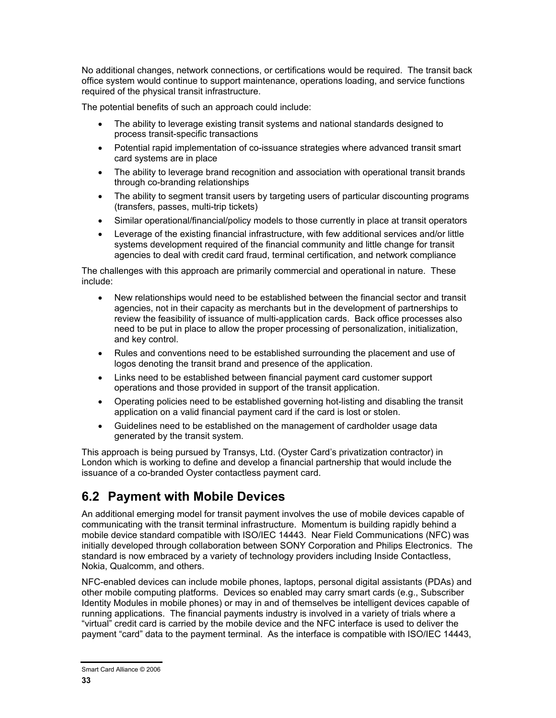No additional changes, network connections, or certifications would be required. The transit back office system would continue to support maintenance, operations loading, and service functions required of the physical transit infrastructure.

The potential benefits of such an approach could include:

- The ability to leverage existing transit systems and national standards designed to process transit-specific transactions
- Potential rapid implementation of co-issuance strategies where advanced transit smart card systems are in place
- The ability to leverage brand recognition and association with operational transit brands through co-branding relationships
- The ability to segment transit users by targeting users of particular discounting programs (transfers, passes, multi-trip tickets)
- Similar operational/financial/policy models to those currently in place at transit operators
- Leverage of the existing financial infrastructure, with few additional services and/or little systems development required of the financial community and little change for transit agencies to deal with credit card fraud, terminal certification, and network compliance

The challenges with this approach are primarily commercial and operational in nature. These include:

- New relationships would need to be established between the financial sector and transit agencies, not in their capacity as merchants but in the development of partnerships to review the feasibility of issuance of multi-application cards. Back office processes also need to be put in place to allow the proper processing of personalization, initialization, and key control.
- Rules and conventions need to be established surrounding the placement and use of logos denoting the transit brand and presence of the application.
- Links need to be established between financial payment card customer support operations and those provided in support of the transit application.
- Operating policies need to be established governing hot-listing and disabling the transit application on a valid financial payment card if the card is lost or stolen.
- Guidelines need to be established on the management of cardholder usage data generated by the transit system.

This approach is being pursued by Transys, Ltd. (Oyster Card's privatization contractor) in London which is working to define and develop a financial partnership that would include the issuance of a co-branded Oyster contactless payment card.

### **6.2 Payment with Mobile Devices**

An additional emerging model for transit payment involves the use of mobile devices capable of communicating with the transit terminal infrastructure. Momentum is building rapidly behind a mobile device standard compatible with ISO/IEC 14443. Near Field Communications (NFC) was initially developed through collaboration between SONY Corporation and Philips Electronics. The standard is now embraced by a variety of technology providers including Inside Contactless, Nokia, Qualcomm, and others.

NFC-enabled devices can include mobile phones, laptops, personal digital assistants (PDAs) and other mobile computing platforms. Devices so enabled may carry smart cards (e.g., Subscriber Identity Modules in mobile phones) or may in and of themselves be intelligent devices capable of running applications. The financial payments industry is involved in a variety of trials where a "virtual" credit card is carried by the mobile device and the NFC interface is used to deliver the payment "card" data to the payment terminal. As the interface is compatible with ISO/IEC 14443,

Smart Card Alliance © 2006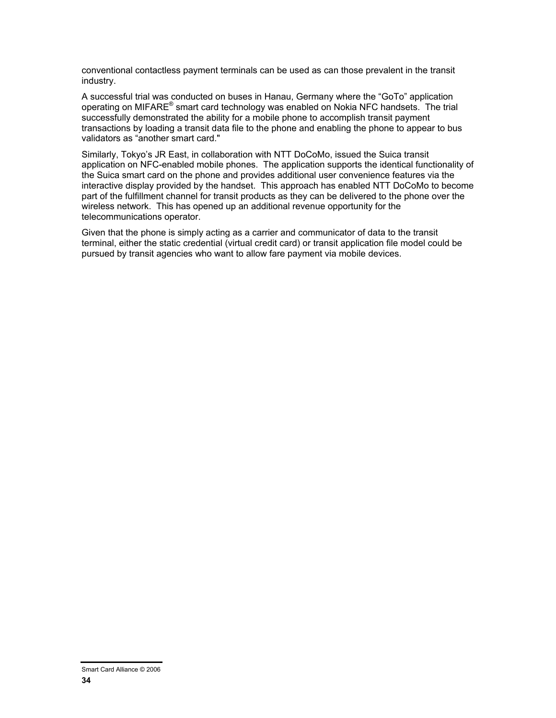conventional contactless payment terminals can be used as can those prevalent in the transit industry.

A successful trial was conducted on buses in Hanau, Germany where the "GoTo" application operating on MIFARE<sup>®</sup> smart card technology was enabled on Nokia NFC handsets. The trial successfully demonstrated the ability for a mobile phone to accomplish transit payment transactions by loading a transit data file to the phone and enabling the phone to appear to bus validators as "another smart card."

Similarly, Tokyo's JR East, in collaboration with NTT DoCoMo, issued the Suica transit application on NFC-enabled mobile phones. The application supports the identical functionality of the Suica smart card on the phone and provides additional user convenience features via the interactive display provided by the handset. This approach has enabled NTT DoCoMo to become part of the fulfillment channel for transit products as they can be delivered to the phone over the wireless network. This has opened up an additional revenue opportunity for the telecommunications operator.

Given that the phone is simply acting as a carrier and communicator of data to the transit terminal, either the static credential (virtual credit card) or transit application file model could be pursued by transit agencies who want to allow fare payment via mobile devices.

Smart Card Alliance © 2006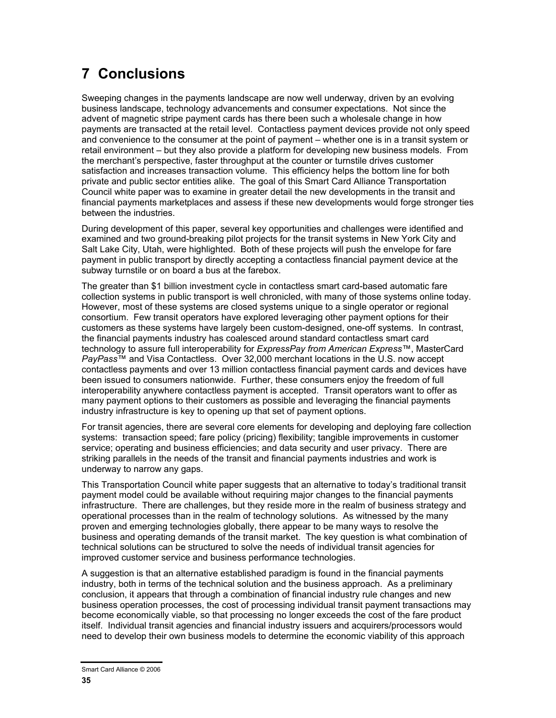# **7 Conclusions**

Sweeping changes in the payments landscape are now well underway, driven by an evolving business landscape, technology advancements and consumer expectations. Not since the advent of magnetic stripe payment cards has there been such a wholesale change in how payments are transacted at the retail level. Contactless payment devices provide not only speed and convenience to the consumer at the point of payment – whether one is in a transit system or retail environment – but they also provide a platform for developing new business models. From the merchant's perspective, faster throughput at the counter or turnstile drives customer satisfaction and increases transaction volume. This efficiency helps the bottom line for both private and public sector entities alike. The goal of this Smart Card Alliance Transportation Council white paper was to examine in greater detail the new developments in the transit and financial payments marketplaces and assess if these new developments would forge stronger ties between the industries.

During development of this paper, several key opportunities and challenges were identified and examined and two ground-breaking pilot projects for the transit systems in New York City and Salt Lake City, Utah, were highlighted. Both of these projects will push the envelope for fare payment in public transport by directly accepting a contactless financial payment device at the subway turnstile or on board a bus at the farebox.

The greater than \$1 billion investment cycle in contactless smart card-based automatic fare collection systems in public transport is well chronicled, with many of those systems online today. However, most of these systems are closed systems unique to a single operator or regional consortium. Few transit operators have explored leveraging other payment options for their customers as these systems have largely been custom-designed, one-off systems. In contrast, the financial payments industry has coalesced around standard contactless smart card technology to assure full interoperability for *ExpressPay from American Express*™, MasterCard *PayPass*™ and Visa Contactless. Over 32,000 merchant locations in the U.S. now accept contactless payments and over 13 million contactless financial payment cards and devices have been issued to consumers nationwide. Further, these consumers enjoy the freedom of full interoperability anywhere contactless payment is accepted. Transit operators want to offer as many payment options to their customers as possible and leveraging the financial payments industry infrastructure is key to opening up that set of payment options.

For transit agencies, there are several core elements for developing and deploying fare collection systems: transaction speed; fare policy (pricing) flexibility; tangible improvements in customer service; operating and business efficiencies; and data security and user privacy. There are striking parallels in the needs of the transit and financial payments industries and work is underway to narrow any gaps.

This Transportation Council white paper suggests that an alternative to today's traditional transit payment model could be available without requiring major changes to the financial payments infrastructure. There are challenges, but they reside more in the realm of business strategy and operational processes than in the realm of technology solutions. As witnessed by the many proven and emerging technologies globally, there appear to be many ways to resolve the business and operating demands of the transit market. The key question is what combination of technical solutions can be structured to solve the needs of individual transit agencies for improved customer service and business performance technologies.

A suggestion is that an alternative established paradigm is found in the financial payments industry, both in terms of the technical solution and the business approach. As a preliminary conclusion, it appears that through a combination of financial industry rule changes and new business operation processes, the cost of processing individual transit payment transactions may become economically viable, so that processing no longer exceeds the cost of the fare product itself. Individual transit agencies and financial industry issuers and acquirers/processors would need to develop their own business models to determine the economic viability of this approach

Smart Card Alliance © 2006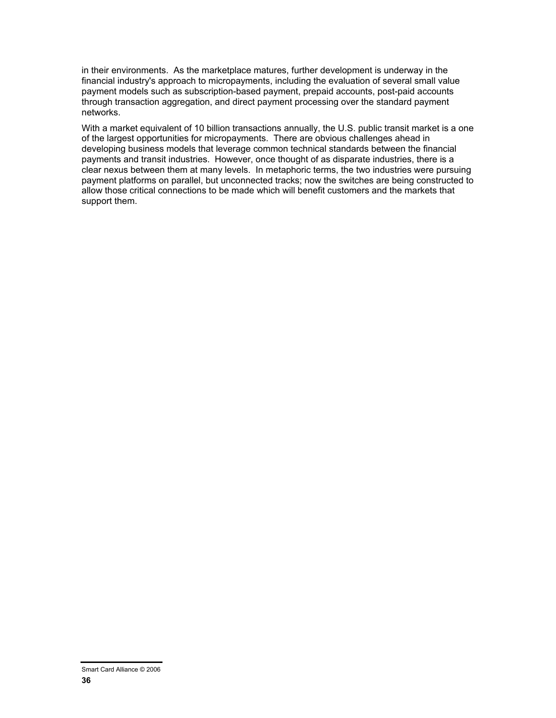in their environments. As the marketplace matures, further development is underway in the financial industry's approach to micropayments, including the evaluation of several small value payment models such as subscription-based payment, prepaid accounts, post-paid accounts through transaction aggregation, and direct payment processing over the standard payment networks.

With a market equivalent of 10 billion transactions annually, the U.S. public transit market is a one of the largest opportunities for micropayments. There are obvious challenges ahead in developing business models that leverage common technical standards between the financial payments and transit industries. However, once thought of as disparate industries, there is a clear nexus between them at many levels. In metaphoric terms, the two industries were pursuing payment platforms on parallel, but unconnected tracks; now the switches are being constructed to allow those critical connections to be made which will benefit customers and the markets that support them.

Smart Card Alliance © 2006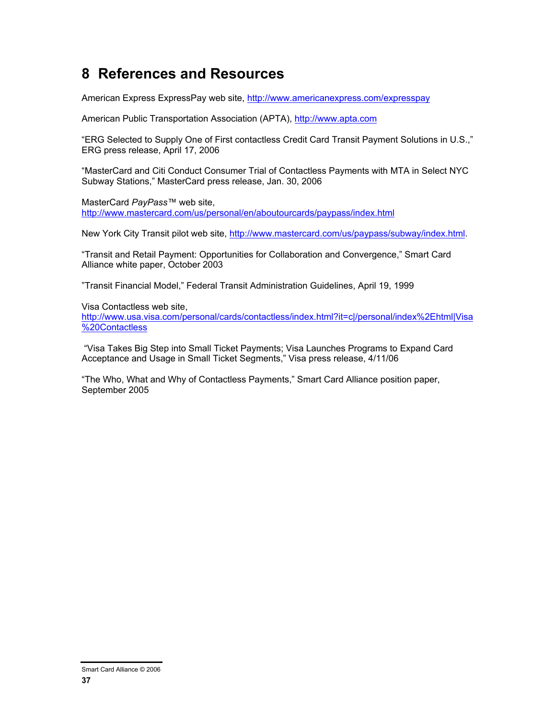# **8 References and Resources**

American Express ExpressPay web site, http://www.americanexpress.com/expresspay

American Public Transportation Association (APTA), http://www.apta.com

"ERG Selected to Supply One of First contactless Credit Card Transit Payment Solutions in U.S.," ERG press release, April 17, 2006

"MasterCard and Citi Conduct Consumer Trial of Contactless Payments with MTA in Select NYC Subway Stations," MasterCard press release, Jan. 30, 2006

MasterCard *PayPass™* web site, http://www.mastercard.com/us/personal/en/aboutourcards/paypass/index.html

New York City Transit pilot web site, http://www.mastercard.com/us/paypass/subway/index.html.

"Transit and Retail Payment: Opportunities for Collaboration and Convergence," Smart Card Alliance white paper, October 2003

"Transit Financial Model," Federal Transit Administration Guidelines, April 19, 1999

Visa Contactless web site,

http://www.usa.visa.com/personal/cards/contactless/index.html?it=c|/personal/index%2Ehtml|Visa %20Contactless

 "Visa Takes Big Step into Small Ticket Payments; Visa Launches Programs to Expand Card Acceptance and Usage in Small Ticket Segments," Visa press release, 4/11/06

"The Who, What and Why of Contactless Payments," Smart Card Alliance position paper, September 2005

Smart Card Alliance © 2006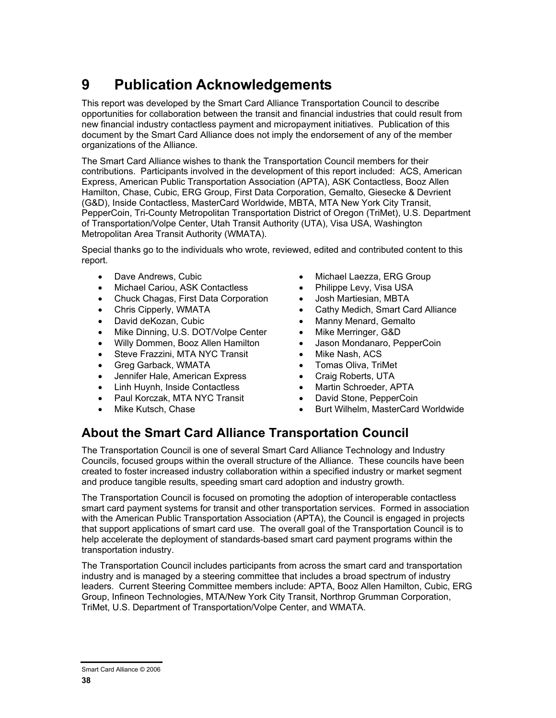# **9 Publication Acknowledgements**

This report was developed by the Smart Card Alliance Transportation Council to describe opportunities for collaboration between the transit and financial industries that could result from new financial industry contactless payment and micropayment initiatives. Publication of this document by the Smart Card Alliance does not imply the endorsement of any of the member organizations of the Alliance.

The Smart Card Alliance wishes to thank the Transportation Council members for their contributions. Participants involved in the development of this report included: ACS, American Express, American Public Transportation Association (APTA), ASK Contactless, Booz Allen Hamilton, Chase, Cubic, ERG Group, First Data Corporation, Gemalto, Giesecke & Devrient (G&D), Inside Contactless, MasterCard Worldwide, MBTA, MTA New York City Transit, PepperCoin, Tri-County Metropolitan Transportation District of Oregon (TriMet), U.S. Department of Transportation/Volpe Center, Utah Transit Authority (UTA), Visa USA, Washington Metropolitan Area Transit Authority (WMATA).

Special thanks go to the individuals who wrote, reviewed, edited and contributed content to this report.

- 
- Michael Cariou, ASK Contactless Philippe Levy, Visa USA
- Chuck Chagas, First Data Corporation Josh Martiesian, MBTA
- 
- 
- Mike Dinning, U.S. DOT/Volpe Center Mike Merringer, G&D
- Willy Dommen, Booz Allen Hamilton Jason Mondanaro, PepperCoin
- Steve Frazzini, MTA NYC Transit Mike Nash, ACS
- Greg Garback, WMATA Tomas Oliva, TriMet
- Jennifer Hale, American Express Craig Roberts, UTA
- Linh Huynh, Inside Contactless Martin Schroeder, APTA
- Paul Korczak, MTA NYC Transit David Stone, PepperCoin
- 
- Dave Andrews, Cubic  **Community Community Community** Michael Laezza, ERG Group
	-
	-
- Chris Cipperly, WMATA Cathy Medich, Smart Card Alliance
- David deKozan, Cubic  **Community Community Community** Manny Menard, Gemalto
	-
	-
	-
	-
	-
	-
	-
	- Mike Kutsch, Chase Burt Wilhelm, MasterCard Worldwide

### **About the Smart Card Alliance Transportation Council**

The Transportation Council is one of several Smart Card Alliance Technology and Industry Councils, focused groups within the overall structure of the Alliance. These councils have been created to foster increased industry collaboration within a specified industry or market segment and produce tangible results, speeding smart card adoption and industry growth.

The Transportation Council is focused on promoting the adoption of interoperable contactless smart card payment systems for transit and other transportation services. Formed in association with the American Public Transportation Association (APTA), the Council is engaged in projects that support applications of smart card use. The overall goal of the Transportation Council is to help accelerate the deployment of standards-based smart card payment programs within the transportation industry.

The Transportation Council includes participants from across the smart card and transportation industry and is managed by a steering committee that includes a broad spectrum of industry leaders. Current Steering Committee members include: APTA, Booz Allen Hamilton, Cubic, ERG Group, Infineon Technologies, MTA/New York City Transit, Northrop Grumman Corporation, TriMet, U.S. Department of Transportation/Volpe Center, and WMATA.

Smart Card Alliance © 2006